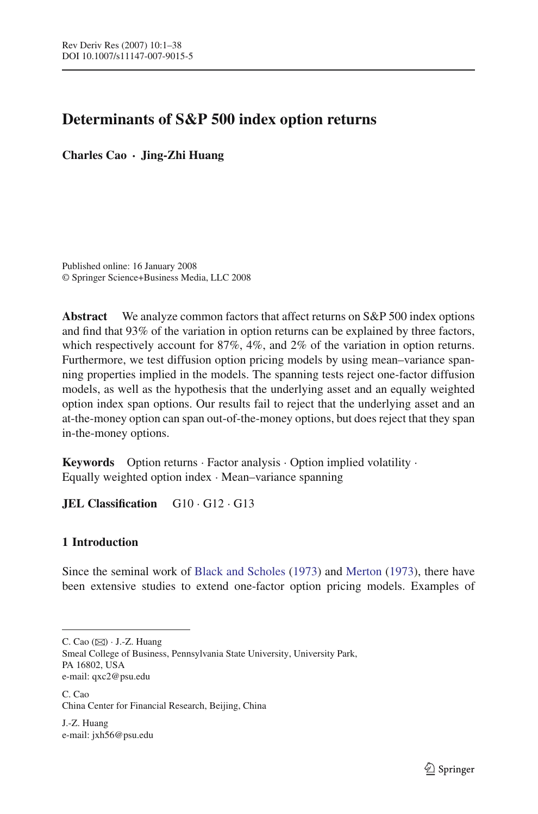# **Determinants of S&P 500 index option returns**

**Charles Cao · Jing-Zhi Huang**

Published online: 16 January 2008 © Springer Science+Business Media, LLC 2008

**Abstract** We analyze common factors that affect returns on S&P 500 index options and find that 93% of the variation in option returns can be explained by three factors, which respectively account for 87%, 4%, and 2% of the variation in option returns. Furthermore, we test diffusion option pricing models by using mean–variance spanning properties implied in the models. The spanning tests reject one-factor diffusion models, as well as the hypothesis that the underlying asset and an equally weighted option index span options. Our results fail to reject that the underlying asset and an at-the-money option can span out-of-the-money options, but does reject that they span in-the-money options.

**Keywords** Option returns · Factor analysis · Option implied volatility · Equally weighted option index · Mean–variance spanning

**JEL Classification** G10 · G12 · G13

# **1 Introduction**

Since the seminal work of [Black and Scholes](#page-36-0) [\(1973](#page-36-0)) and [Merton](#page-37-0) [\(1973](#page-37-0)), there have been extensive studies to extend one-factor option pricing models. Examples of

Smeal College of Business, Pennsylvania State University, University Park, PA 16802, USA e-mail: qxc2@psu.edu

C. Cao China Center for Financial Research, Beijing, China

J.-Z. Huang e-mail: jxh56@psu.edu

C. Cao  $(\boxtimes)$   $\cdot$  J.-Z. Huang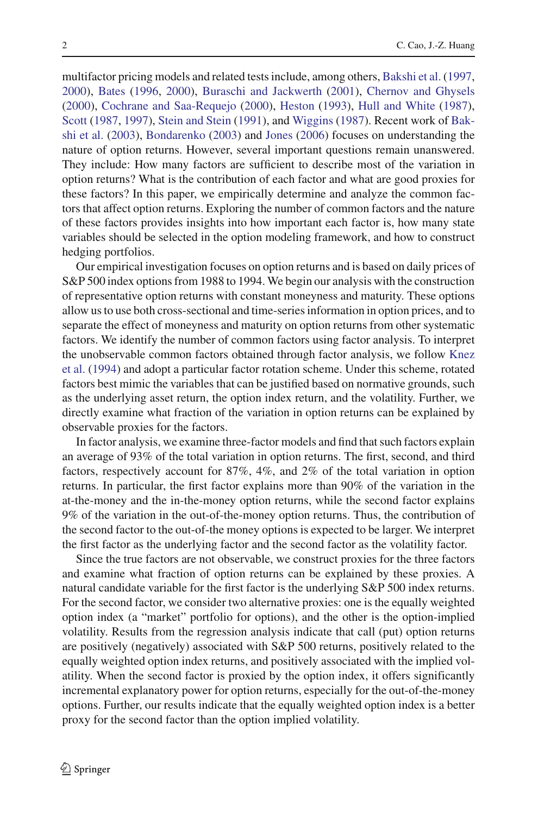multifactor pricing models and related tests include, among others, [Bakshi et al.](#page-35-0) [\(1997,](#page-35-0) [2000\)](#page-35-1), [Bates](#page-36-1) [\(1996](#page-36-1), [2000\)](#page-36-2), [Buraschi and Jackwerth](#page-36-3) [\(2001](#page-36-3)), [Chernov and Ghysels](#page-36-4) [\(2000\)](#page-36-4), [Cochrane and Saa-Requejo](#page-36-5) [\(2000\)](#page-36-5), [Heston](#page-36-6) [\(1993\)](#page-36-6), [Hull and White](#page-36-7) [\(1987](#page-36-7)), [Scott](#page-37-1) [\(1987,](#page-37-1) [1997](#page-37-2)), [Stein and Stein](#page-37-3) [\(1991](#page-37-3)), and [Wiggins](#page-37-4) [\(1987](#page-37-4)[\).](#page-36-8) [Recent](#page-36-8) [work](#page-36-8) [of](#page-36-8) Bakshi et al. [\(2003\)](#page-36-8), [Bondarenko](#page-36-9) [\(2003\)](#page-36-9) and [Jones](#page-36-10) [\(2006](#page-36-10)) focuses on understanding the nature of option returns. However, several important questions remain unanswered. They include: How many factors are sufficient to describe most of the variation in option returns? What is the contribution of each factor and what are good proxies for these factors? In this paper, we empirically determine and analyze the common factors that affect option returns. Exploring the number of common factors and the nature of these factors provides insights into how important each factor is, how many state variables should be selected in the option modeling framework, and how to construct hedging portfolios.

Our empirical investigation focuses on option returns and is based on daily prices of S&P 500 index options from 1988 to 1994. We begin our analysis with the construction of representative option returns with constant moneyness and maturity. These options allow us to use both cross-sectional and time-series information in option prices, and to separate the effect of moneyness and maturity on option returns from other systematic factors. We identify the number of common factors using factor analysis. To interpret the [unobservable](#page-36-11) [common](#page-36-11) [factors](#page-36-11) [obtained](#page-36-11) [through](#page-36-11) [factor](#page-36-11) [analysis,](#page-36-11) [we](#page-36-11) [follow](#page-36-11) Knez et al. [\(1994](#page-36-11)) and adopt a particular factor rotation scheme. Under this scheme, rotated factors best mimic the variables that can be justified based on normative grounds, such as the underlying asset return, the option index return, and the volatility. Further, we directly examine what fraction of the variation in option returns can be explained by observable proxies for the factors.

In factor analysis, we examine three-factor models and find that such factors explain an average of 93% of the total variation in option returns. The first, second, and third factors, respectively account for 87%, 4%, and 2% of the total variation in option returns. In particular, the first factor explains more than 90% of the variation in the at-the-money and the in-the-money option returns, while the second factor explains 9% of the variation in the out-of-the-money option returns. Thus, the contribution of the second factor to the out-of-the money options is expected to be larger. We interpret the first factor as the underlying factor and the second factor as the volatility factor.

Since the true factors are not observable, we construct proxies for the three factors and examine what fraction of option returns can be explained by these proxies. A natural candidate variable for the first factor is the underlying S&P 500 index returns. For the second factor, we consider two alternative proxies: one is the equally weighted option index (a "market" portfolio for options), and the other is the option-implied volatility. Results from the regression analysis indicate that call (put) option returns are positively (negatively) associated with S&P 500 returns, positively related to the equally weighted option index returns, and positively associated with the implied volatility. When the second factor is proxied by the option index, it offers significantly incremental explanatory power for option returns, especially for the out-of-the-money options. Further, our results indicate that the equally weighted option index is a better proxy for the second factor than the option implied volatility.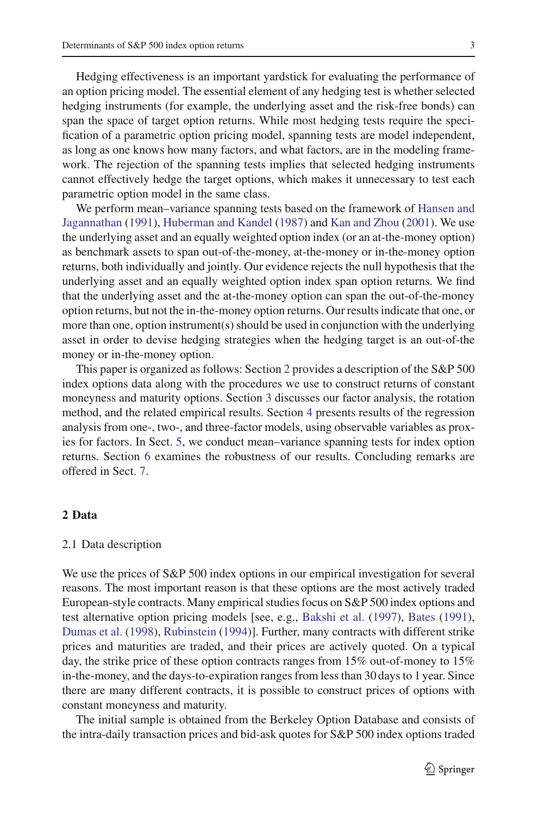Hedging effectiveness is an important yardstick for evaluating the performance of an option pricing model. The essential element of any hedging test is whether selected hedging instruments (for example, the underlying asset and the risk-free bonds) can span the space of target option returns. While most hedging tests require the specification of a parametric option pricing model, spanning tests are model independent, as long as one knows how many factors, and what factors, are in the modeling framework. The rejection of the spanning tests implies that selected hedging instruments cannot effectively hedge the target options, which makes it unnecessary to test each parametric option model in the same class.

We perfo[rm](#page-36-12) [mean–variance](#page-36-12) [spanning](#page-36-12) [tests](#page-36-12) [based](#page-36-12) [on](#page-36-12) [the](#page-36-12) [framework](#page-36-12) [of](#page-36-12) Hansen and Jagannathan [\(1991](#page-36-12)), [Huberman and Kandel](#page-36-13) [\(1987](#page-36-13)) and [Kan and Zhou](#page-36-14) [\(2001\)](#page-36-14). We use the underlying asset and an equally weighted option index (or an at-the-money option) as benchmark assets to span out-of-the-money, at-the-money or in-the-money option returns, both individually and jointly. Our evidence rejects the null hypothesis that the underlying asset and an equally weighted option index span option returns. We find that the underlying asset and the at-the-money option can span the out-of-the-money option returns, but not the in-the-money option returns. Our results indicate that one, or more than one, option instrument(s) should be used in conjunction with the underlying asset in order to devise hedging strategies when the hedging target is an out-of-the money or in-the-money option.

This paper is organized as follows: Section [2](#page-2-0) provides a description of the S&P 500 index options data along with the procedures we use to construct returns of constant moneyness and maturity options. Section [3](#page-9-0) discusses our factor analysis, the rotation method, and the related empirical results. Section [4](#page-18-0) presents results of the regression analysis from one-, two-, and three-factor models, using observable variables as proxies for factors. In Sect. [5,](#page-26-0) we conduct mean–variance spanning tests for index option returns. Section [6](#page-30-0) examines the robustness of our results. Concluding remarks are offered in Sect. [7.](#page-32-0)

# <span id="page-2-0"></span>**2 Data**

### 2.1 Data description

We use the prices of S&P 500 index options in our empirical investigation for several reasons. The most important reason is that these options are the most actively traded European-style contracts. Many empirical studies focus on S&P 500 index options and test alternative option pricing models [see, e.g., [Bakshi et al.](#page-35-0) [\(1997\)](#page-35-0), [Bates](#page-36-15) [\(1991](#page-36-15)), [Dumas et al.](#page-36-16) [\(1998\)](#page-36-16), [Rubinstein](#page-37-5) [\(1994](#page-37-5))]. Further, many contracts with different strike prices and maturities are traded, and their prices are actively quoted. On a typical day, the strike price of these option contracts ranges from 15% out-of-money to 15% in-the-money, and the days-to-expiration ranges from less than 30 days to 1 year. Since there are many different contracts, it is possible to construct prices of options with constant moneyness and maturity.

The initial sample is obtained from the Berkeley Option Database and consists of the intra-daily transaction prices and bid-ask quotes for S&P 500 index options traded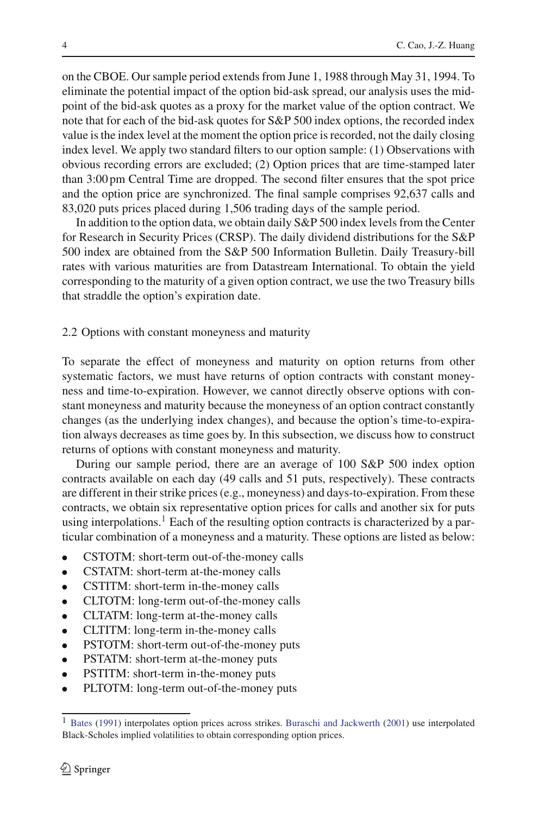on the CBOE. Our sample period extends from June 1, 1988 through May 31, 1994. To eliminate the potential impact of the option bid-ask spread, our analysis uses the midpoint of the bid-ask quotes as a proxy for the market value of the option contract. We note that for each of the bid-ask quotes for S&P 500 index options, the recorded index value is the index level at the moment the option price is recorded, not the daily closing index level. We apply two standard filters to our option sample: (1) Observations with obvious recording errors are excluded; (2) Option prices that are time-stamped later than 3:00 pm Central Time are dropped. The second filter ensures that the spot price and the option price are synchronized. The final sample comprises 92,637 calls and 83,020 puts prices placed during 1,506 trading days of the sample period.

In addition to the option data, we obtain daily S&P 500 index levels from the Center for Research in Security Prices (CRSP). The daily dividend distributions for the S&P 500 index are obtained from the S&P 500 Information Bulletin. Daily Treasury-bill rates with various maturities are from Datastream International. To obtain the yield corresponding to the maturity of a given option contract, we use the two Treasury bills that straddle the option's expiration date.

# 2.2 Options with constant moneyness and maturity

To separate the effect of moneyness and maturity on option returns from other systematic factors, we must have returns of option contracts with constant moneyness and time-to-expiration. However, we cannot directly observe options with constant moneyness and maturity because the moneyness of an option contract constantly changes (as the underlying index changes), and because the option's time-to-expiration always decreases as time goes by. In this subsection, we discuss how to construct returns of options with constant moneyness and maturity.

During our sample period, there are an average of 100 S&P 500 index option contracts available on each day (49 calls and 51 puts, respectively). These contracts are different in their strike prices (e.g., moneyness) and days-to-expiration. From these contracts, we obtain six representative option prices for calls and another six for puts using interpolations.<sup>[1](#page-3-0)</sup> Each of the resulting option contracts is characterized by a particular combination of a moneyness and a maturity. These options are listed as below:

- CSTOTM: short-term out-of-the-money calls
- CSTATM: short-term at-the-money calls
- CSTITM: short-term in-the-money calls
- CLTOTM: long-term out-of-the-money calls
- CLTATM: long-term at-the-money calls
- CLTITM: long-term in-the-money calls
- PSTOTM: short-term out-of-the-money puts
- PSTATM: short-term at-the-money puts
- PSTITM: short-term in-the-money puts
- PLTOTM: long-term out-of-the-money puts

<span id="page-3-0"></span><sup>&</sup>lt;sup>1</sup> [Bates](#page-36-15) [\(1991\)](#page-36-15) interpolates option prices across strikes. [Buraschi and Jackwerth](#page-36-3) [\(2001\)](#page-36-3) use interpolated Black-Scholes implied volatilities to obtain corresponding option prices.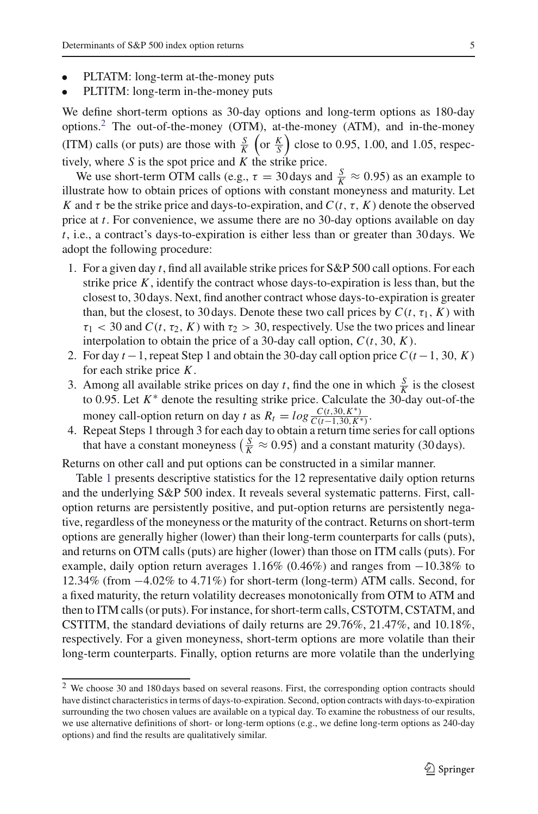- PLTATM: long-term at-the-money puts
- PLTITM: long-term in-the-money puts

We define short-term options as 30-day options and long-term options as 180-day options.<sup>[2](#page-4-0)</sup> The out-of-the-money (OTM), at-the-money (ATM), and in-the-money (ITM) calls (or puts) are those with  $\frac{S}{K}$  (or  $\frac{K}{S}$ ) close to 0.95, 1.00, and 1.05, respectively, where *S* is the spot price and *K* the strike price.

We use short-term OTM calls (e.g.,  $\tau = 30 \text{ days}$  and  $\frac{S}{K} \approx 0.95$ ) as an example to illustrate how to obtain prices of options with constant moneyness and maturity. Let *K* and  $\tau$  be the strike price and days-to-expiration, and  $C(t, \tau, K)$  denote the observed price at *t*. For convenience, we assume there are no 30-day options available on day *t*, i.e., a contract's days-to-expiration is either less than or greater than 30 days. We adopt the following procedure:

- 1. For a given day *t*, find all available strike prices for S&P 500 call options. For each strike price *K*, identify the contract whose days-to-expiration is less than, but the closest to, 30 days. Next, find another contract whose days-to-expiration is greater than, but the closest, to 30 days. Denote these two call prices by  $C(t, \tau_1, K)$  with  $\tau_1$  < 30 and *C*(*t*,  $\tau_2$ , *K*) with  $\tau_2$  > 30, respectively. Use the two prices and linear interpolation to obtain the price of a 30-day call option,  $C(t, 30, K)$ .
- 2. For day *t* −1, repeat Step 1 and obtain the 30-day call option price *C*(*t* −1, 30, *K*) for each strike price *K*.
- 3. Among all available strike prices on day *t*, find the one in which  $\frac{S}{K}$  is the closest to 0.95. Let *K*<sup>∗</sup> denote the resulting strike price. Calculate the 30-day out-of-the money call-option return on day *t* as  $R_t = log \frac{C(t,30,K^*)}{C(t-1,30,K^*)}$ .
- 4. Repeat Steps 1 through 3 for each day to obtain a return time series for call options that have a constant moneyness  $\left(\frac{S}{K} \approx 0.95\right)$  and a constant maturity (30 days).

Returns on other call and put options can be constructed in a similar manner.

Table [1](#page-5-0) presents descriptive statistics for the 12 representative daily option returns and the underlying S&P 500 index. It reveals several systematic patterns. First, calloption returns are persistently positive, and put-option returns are persistently negative, regardless of the moneyness or the maturity of the contract. Returns on short-term options are generally higher (lower) than their long-term counterparts for calls (puts), and returns on OTM calls (puts) are higher (lower) than those on ITM calls (puts). For example, daily option return averages  $1.16\%$  (0.46%) and ranges from  $-10.38\%$  to 12.34% (from −4.02% to 4.71%) for short-term (long-term) ATM calls. Second, for a fixed maturity, the return volatility decreases monotonically from OTM to ATM and then to ITM calls (or puts). For instance, for short-term calls, CSTOTM, CSTATM, and CSTITM, the standard deviations of daily returns are 29.76%, 21.47%, and 10.18%, respectively. For a given moneyness, short-term options are more volatile than their long-term counterparts. Finally, option returns are more volatile than the underlying

<span id="page-4-0"></span><sup>2</sup> We choose 30 and 180 days based on several reasons. First, the corresponding option contracts should have distinct characteristics in terms of days-to-expiration. Second, option contracts with days-to-expiration surrounding the two chosen values are available on a typical day. To examine the robustness of our results, we use alternative definitions of short- or long-term options (e.g., we define long-term options as 240-day options) and find the results are qualitatively similar.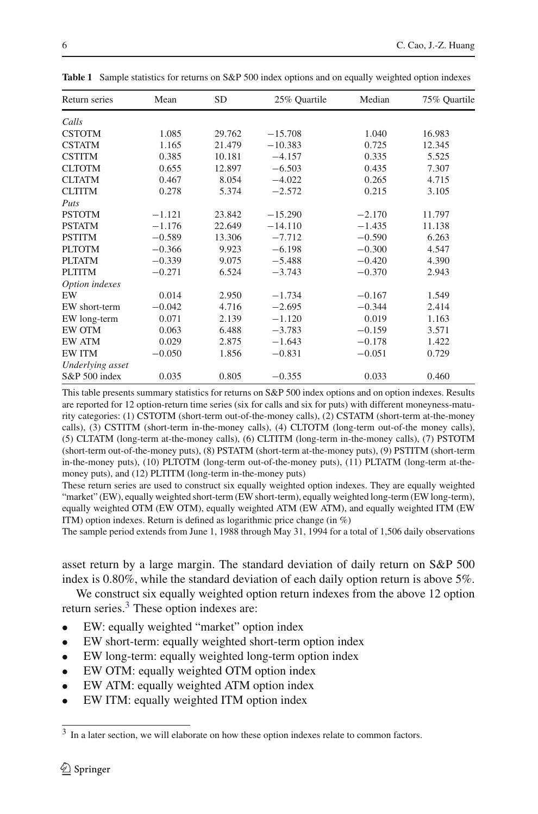<span id="page-5-0"></span>

| <b>SD</b><br>25% Quartile<br>Return series<br>Mean | Median   | 75% Quartile |
|----------------------------------------------------|----------|--------------|
|                                                    |          |              |
| Calls                                              |          |              |
| <b>CSTOTM</b><br>1.085<br>29.762<br>$-15.708$      | 1.040    | 16.983       |
| 1.165<br><b>CSTATM</b><br>21.479<br>$-10.383$      | 0.725    | 12.345       |
| <b>CSTITM</b><br>0.385<br>10.181<br>$-4.157$       | 0.335    | 5.525        |
| <b>CLTOTM</b><br>0.655<br>12.897<br>$-6.503$       | 0.435    | 7.307        |
| <b>CLTATM</b><br>0.467<br>$-4.022$<br>8.054        | 0.265    | 4.715        |
| <b>CLTITM</b><br>0.278<br>5.374<br>$-2.572$        | 0.215    | 3.105        |
| Puts                                               |          |              |
| <b>PSTOTM</b><br>$-1.121$<br>23.842<br>$-15.290$   | $-2.170$ | 11.797       |
| <b>PSTATM</b><br>$-1.176$<br>22.649<br>$-14.110$   | $-1.435$ | 11.138       |
| <b>PSTITM</b><br>$-0.589$<br>13.306<br>$-7.712$    | $-0.590$ | 6.263        |
| <b>PLTOTM</b><br>$-0.366$<br>9.923<br>$-6.198$     | $-0.300$ | 4.547        |
| <b>PLTATM</b><br>$-0.339$<br>9.075<br>$-5.488$     | $-0.420$ | 4.390        |
| <b>PLTITM</b><br>$-0.271$<br>6.524<br>$-3.743$     | $-0.370$ | 2.943        |
| Option indexes                                     |          |              |
| 0.014<br>EW<br>2.950<br>$-1.734$                   | $-0.167$ | 1.549        |
| $-0.042$<br>4.716<br>EW short-term<br>$-2.695$     | $-0.344$ | 2.414        |
| 0.071<br>2.139<br>EW long-term<br>$-1.120$         | 0.019    | 1.163        |
| EW OTM<br>0.063<br>6.488<br>$-3.783$               | $-0.159$ | 3.571        |
| <b>EW ATM</b><br>0.029<br>2.875<br>$-1.643$        | $-0.178$ | 1.422        |
| <b>EW ITM</b><br>$-0.050$<br>1.856<br>$-0.831$     | $-0.051$ | 0.729        |
| Underlying asset                                   |          |              |
| S&P 500 index<br>0.805<br>0.035<br>$-0.355$        | 0.033    | 0.460        |

**Table 1** Sample statistics for returns on S&P 500 index options and on equally weighted option indexes

This table presents summary statistics for returns on S&P 500 index options and on option indexes. Results are reported for 12 option-return time series (six for calls and six for puts) with different moneyness-maturity categories: (1) CSTOTM (short-term out-of-the-money calls), (2) CSTATM (short-term at-the-money calls), (3) CSTITM (short-term in-the-money calls), (4) CLTOTM (long-term out-of-the money calls), (5) CLTATM (long-term at-the-money calls), (6) CLTITM (long-term in-the-money calls), (7) PSTOTM (short-term out-of-the-money puts), (8) PSTATM (short-term at-the-money puts), (9) PSTITM (short-term in-the-money puts), (10) PLTOTM (long-term out-of-the-money puts), (11) PLTATM (long-term at-themoney puts), and (12) PLTITM (long-term in-the-money puts)

These return series are used to construct six equally weighted option indexes. They are equally weighted "market" (EW), equally weighted short-term (EW short-term), equally weighted long-term (EW long-term), equally weighted OTM (EW OTM), equally weighted ATM (EW ATM), and equally weighted ITM (EW ITM) option indexes. Return is defined as logarithmic price change (in %)

The sample period extends from June 1, 1988 through May 31, 1994 for a total of 1,506 daily observations

asset return by a large margin. The standard deviation of daily return on S&P 500 index is 0.80%, while the standard deviation of each daily option return is above 5%.

We construct six equally weighted option return indexes from the above 12 option return series.<sup>3</sup> These option indexes are:

- EW: equally weighted "market" option index
- EW short-term: equally weighted short-term option index
- EW long-term: equally weighted long-term option index
- EW OTM: equally weighted OTM option index
- EW ATM: equally weighted ATM option index
- EW ITM: equally weighted ITM option index

<span id="page-5-1"></span><sup>3</sup> In a later section, we will elaborate on how these option indexes relate to common factors.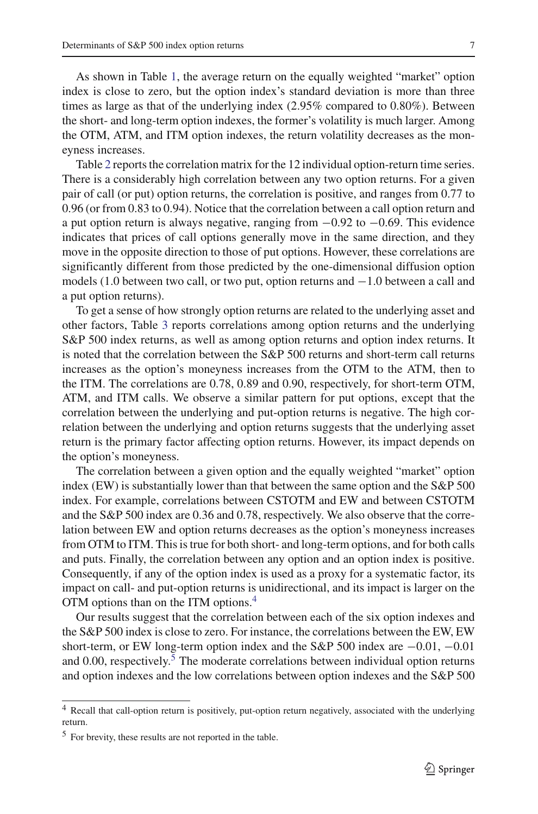As shown in Table [1,](#page-5-0) the average return on the equally weighted "market" option index is close to zero, but the option index's standard deviation is more than three times as large as that of the underlying index (2.95% compared to 0.80%). Between the short- and long-term option indexes, the former's volatility is much larger. Among the OTM, ATM, and ITM option indexes, the return volatility decreases as the moneyness increases.

Table [2](#page-7-0) reports the correlation matrix for the 12 individual option-return time series. There is a considerably high correlation between any two option returns. For a given pair of call (or put) option returns, the correlation is positive, and ranges from 0.77 to 0.96 (or from 0.83 to 0.94). Notice that the correlation between a call option return and a put option return is always negative, ranging from −0.92 to −0.69. This evidence indicates that prices of call options generally move in the same direction, and they move in the opposite direction to those of put options. However, these correlations are significantly different from those predicted by the one-dimensional diffusion option models (1.0 between two call, or two put, option returns and −1.0 between a call and a put option returns).

To get a sense of how strongly option returns are related to the underlying asset and other factors, Table [3](#page-8-0) reports correlations among option returns and the underlying S&P 500 index returns, as well as among option returns and option index returns. It is noted that the correlation between the S&P 500 returns and short-term call returns increases as the option's moneyness increases from the OTM to the ATM, then to the ITM. The correlations are 0.78, 0.89 and 0.90, respectively, for short-term OTM, ATM, and ITM calls. We observe a similar pattern for put options, except that the correlation between the underlying and put-option returns is negative. The high correlation between the underlying and option returns suggests that the underlying asset return is the primary factor affecting option returns. However, its impact depends on the option's moneyness.

The correlation between a given option and the equally weighted "market" option index (EW) is substantially lower than that between the same option and the S&P 500 index. For example, correlations between CSTOTM and EW and between CSTOTM and the S&P 500 index are 0.36 and 0.78, respectively. We also observe that the correlation between EW and option returns decreases as the option's moneyness increases from OTM to ITM. This is true for both short- and long-term options, and for both calls and puts. Finally, the correlation between any option and an option index is positive. Consequently, if any of the option index is used as a proxy for a systematic factor, its impact on call- and put-option returns is unidirectional, and its impact is larger on the OTM options than on the ITM options.[4](#page-6-0)

Our results suggest that the correlation between each of the six option indexes and the S&P 500 index is close to zero. For instance, the correlations between the EW, EW short-term, or EW long-term option index and the S&P 500 index are −0.01, −0.01 and  $0.00$ , respectively.<sup>[5](#page-6-1)</sup> The moderate correlations between individual option returns and option indexes and the low correlations between option indexes and the S&P 500

<span id="page-6-0"></span><sup>4</sup> Recall that call-option return is positively, put-option return negatively, associated with the underlying return.

<span id="page-6-1"></span><sup>5</sup> For brevity, these results are not reported in the table.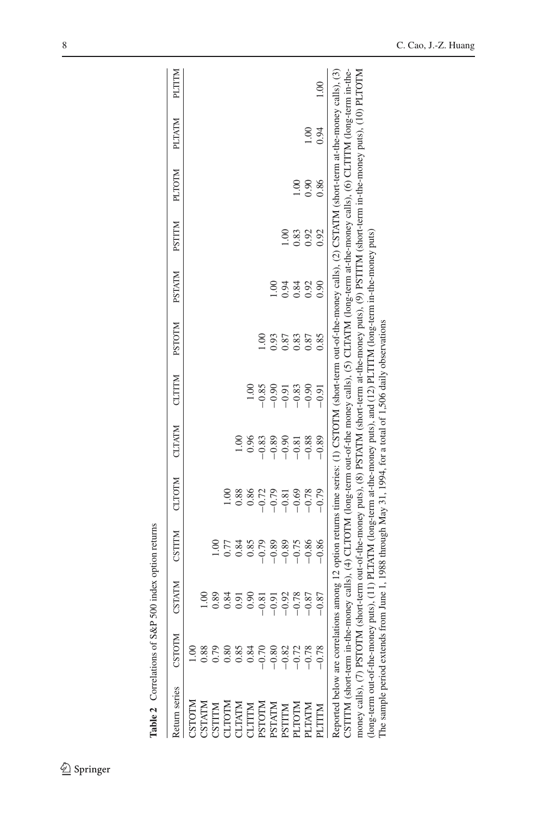| Return series                                                                                                                                                                                                                                      | CSTOTM                                                                                                                     | CSTATM  | CSTITM  | <b>CLTOTM</b> | <b>CLTATM</b> | CLITIM  | <b>NJOLS</b> | <b>NTATM</b> | <b>NTILS</b> | <b>PLTOTM</b>   | PLTATM        | MILITH           |
|----------------------------------------------------------------------------------------------------------------------------------------------------------------------------------------------------------------------------------------------------|----------------------------------------------------------------------------------------------------------------------------|---------|---------|---------------|---------------|---------|--------------|--------------|--------------|-----------------|---------------|------------------|
|                                                                                                                                                                                                                                                    |                                                                                                                            |         |         |               |               |         |              |              |              |                 |               |                  |
| CSTOTM                                                                                                                                                                                                                                             |                                                                                                                            |         |         |               |               |         |              |              |              |                 |               |                  |
|                                                                                                                                                                                                                                                    |                                                                                                                            |         |         |               |               |         |              |              |              |                 |               |                  |
|                                                                                                                                                                                                                                                    |                                                                                                                            | 0.89    | 00.1    |               |               |         |              |              |              |                 |               |                  |
| $\begin{array}{l} \text{CSTATM} \\ \text{CSTITM} \\ \text{CLTOTM} \\ \text{CLTATM} \\ \text{CLTITM} \\ \text{CTTTM} \\ \text{BSTCTM} \\ \text{BSTTM} \\ \text{BSTTM} \\ \text{BSTTM} \\ \text{BSTTM} \\ \text{DTTM} \\ \text{DTTM} \\ \end{array}$ |                                                                                                                            | 0.84    | 0.77    |               |               |         |              |              |              |                 |               |                  |
|                                                                                                                                                                                                                                                    |                                                                                                                            | 0.91    | 0.84    | 0.88          |               |         |              |              |              |                 |               |                  |
|                                                                                                                                                                                                                                                    |                                                                                                                            | 0.90    | 0.85    | 0.86          | 0.96          | 1.00    |              |              |              |                 |               |                  |
|                                                                                                                                                                                                                                                    |                                                                                                                            | $-0.81$ | $-0.79$ | $-0.72$       | $-0.83$       | $-0.85$ | <u>ទ</u>     |              |              |                 |               |                  |
|                                                                                                                                                                                                                                                    |                                                                                                                            | $-0.91$ | $-0.89$ | $-0.79$       | $-0.89$       | $-0.90$ | 0.93         | 00.1         |              |                 |               |                  |
|                                                                                                                                                                                                                                                    |                                                                                                                            | $-0.92$ | $-0.89$ | $-0.81$       | $-0.90$       | $-0.91$ | 0.87         | 0.94         |              |                 |               |                  |
|                                                                                                                                                                                                                                                    |                                                                                                                            | $-0.78$ | $-0.75$ | $-0.69$       | $-0.81$       | $-0.83$ | 0.83         | 0.84         | 0.83         | $\widetilde{0}$ |               |                  |
| <b>PLTATM</b>                                                                                                                                                                                                                                      |                                                                                                                            | $-0.87$ | $-0.86$ | $-0.78$       | $-0.88$       | $-0.90$ | 0.87         | 0.92         | 0.92         | 0.90            | $\frac{8}{1}$ |                  |
| LTTTM                                                                                                                                                                                                                                              | $-0.78$                                                                                                                    | $-0.87$ | $-0.86$ | $-0.79$       | $-0.89$       | $-0.91$ | 0.85         | 0.90         | 0.92         | 0.86            | 0.94          | $\frac{0}{1.00}$ |
| Reported below are correlations among 12 option returns time series: (1) CSTOTM (short-term out-of-the-noney calls), (2) CSTATM (short-term at-the-money calls), (3)                                                                               |                                                                                                                            |         |         |               |               |         |              |              |              |                 |               |                  |
| CSTITM (short-term in-the-money calls), (4) CLTOTM (long-term out-of-the money calls), (5) CLTATM (long-term at-the-money calls), (6) CLTITM (long-term in-the-                                                                                    |                                                                                                                            |         |         |               |               |         |              |              |              |                 |               |                  |
| money calls), (7) PSTOTM (short-term out-of-the-money puts), (8) PSTATM (short-term at-the-money puts), (9) PSTITM (short-term in-the-money puts), (10) PLTOTM                                                                                     |                                                                                                                            |         |         |               |               |         |              |              |              |                 |               |                  |
|                                                                                                                                                                                                                                                    | long-term out-of-the-money puts), (11) PLTATM (long-term at-the-money puts), and (12) PLTITM (long-term in-the-money puts) |         |         |               |               |         |              |              |              |                 |               |                  |
|                                                                                                                                                                                                                                                    | The sample period extends from June 1, 1988 through May 31, 1994, for a total of 1,506 daily observations                  |         |         |               |               |         |              |              |              |                 |               |                  |
|                                                                                                                                                                                                                                                    |                                                                                                                            |         |         |               |               |         |              |              |              |                 |               |                  |
|                                                                                                                                                                                                                                                    |                                                                                                                            |         |         |               |               |         |              |              |              |                 |               |                  |

<span id="page-7-0"></span>

| ı<br>i                                    |
|-------------------------------------------|
| l                                         |
| l                                         |
| ֖֖֢ׅ֪ׅ֪ׅ֖ׅׅ֧֚֚֚֚֚֚֚֚֚֚֚֚֚֚֚֚֚֚֚֚֚֚֡֬֝֝֬֝֬ |
|                                           |
| i<br>i                                    |
|                                           |
|                                           |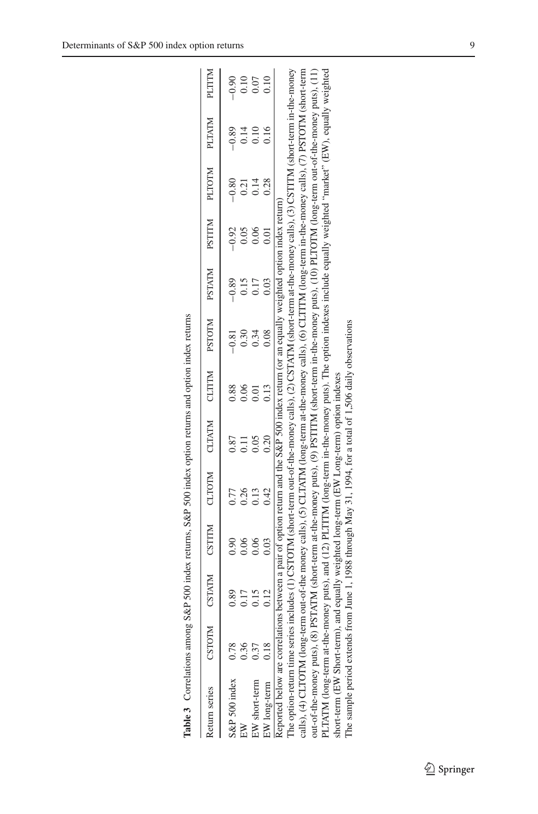| Table 3 Correlations among S&P 500 index returns, S&P 500 index option returns and option index returns                                                                                                                                                                                                                                                                   |               |              |              |                                                                                                                 |               |              |                 |                 |                 |                 |                 |                 |
|---------------------------------------------------------------------------------------------------------------------------------------------------------------------------------------------------------------------------------------------------------------------------------------------------------------------------------------------------------------------------|---------------|--------------|--------------|-----------------------------------------------------------------------------------------------------------------|---------------|--------------|-----------------|-----------------|-----------------|-----------------|-----------------|-----------------|
| Return series                                                                                                                                                                                                                                                                                                                                                             | <b>CSTOTM</b> |              |              | USTATM PISTINI CONTACT STONIC CLIPS OF STONIC CLIPS OF STATM CONTACT AND STATM CONTACT STATM CONTACT STATM CONT |               |              |                 |                 |                 |                 | <b>PLTATM</b>   | <b>PLTITM</b>   |
| S&P 500 index 0.78                                                                                                                                                                                                                                                                                                                                                        | .36           | 0.89<br>0.17 | 0.90<br>0.06 | 0.77<br>0.26                                                                                                    | 0.87<br>$\Xi$ | 0.88<br>0.06 | $-0.81$<br>0.30 | $-0.89$<br>0.15 | $-0.92$<br>0.05 | $-0.80$<br>0.21 | $-0.89$<br>0.14 | $-0.90$<br>0.10 |
| EW short-term                                                                                                                                                                                                                                                                                                                                                             | 0.37          | 0.15         | 0.06         | 0.13                                                                                                            | 0.05          | 0.01         | 0.34            | 0.17            | 0.06            | 0.14            | 0.10            | 0.07            |
| EW long-term                                                                                                                                                                                                                                                                                                                                                              | 0.18          | 0.12         | 0.03         | 0.42                                                                                                            | 0.20          | 0.13         | 0.08            |                 |                 | 0.28            | 0.16            | 0.10            |
| The option-return time series includes (1) CSTOTM (short-term out-of-the-money calls), (2) CSTATM (short-term at-the-money calls), (3) CSTITM (short-term in-the-money<br>Reported below are correlations between a pair of option return and the S&P 500 index return (or an equally weighted option index return)                                                       |               |              |              |                                                                                                                 |               |              |                 |                 |                 |                 |                 |                 |
| calls), (4) CLTOTM (long-term out-of-the money calls), (5) CLTATM (long-term at-the-money calls), (6) CLTITM (long-term in-the-money calls), (7) PSTOTM (short-term<br>out-of-the-money puts), (8) PSTATM (short-term at-the-money puts), (9) PSTITM (short-term in-the-money puts), (10) PLTOTM (long-term out-of-the-money puts), (11)                                  |               |              |              |                                                                                                                 |               |              |                 |                 |                 |                 |                 |                 |
| PLTATM (long-term at-the-money puts), and (12) PLTITM (long-term in-the-money puts). The option indexes include equally weighted "market" (EW), equally weighted<br>The sample period extends from June 1, 1988 through May 31, 1994, for a total of 1,506 daily observations<br>short-term (EW Short-term), and equally weighted long-term (EW Long-term) option indexes |               |              |              |                                                                                                                 |               |              |                 |                 |                 |                 |                 |                 |

| こくち こくてんきょう こくしょう<br>l                                                                                        |
|---------------------------------------------------------------------------------------------------------------|
|                                                                                                               |
| こく じゅうけいしょう こくてきそく                                                                                            |
|                                                                                                               |
| $\ddotsc$                                                                                                     |
|                                                                                                               |
| $\frac{1}{2}$<br>3                                                                                            |
|                                                                                                               |
|                                                                                                               |
|                                                                                                               |
| $\cap$ $\Omega$ , $D$ $\leq$ $\Omega$                                                                         |
|                                                                                                               |
| i<br>֧֪֧֧֧֧֧֧֧֧֧֧֧֧֧֧֧֧֧֧֧֧֛֧֧֧֚֚֚֚֚֚֚֚֚֚֝֕֓֕֕֓֕֓֝֓֕֓֝֬֝֓֝֬֝֓֞֟֓֝֬֝֬֝֬֓֝֬֓֝֬֝֬֝֬֝֬֝֬֝֬֝֬֝֬֝֬֝֬֝֬֝֬֝֬֝֬֝֬<br>ļ |
| ؘ<br>١<br>Table.                                                                                              |

<span id="page-8-0"></span> $\underline{\textcircled{\tiny 2}}$  Springer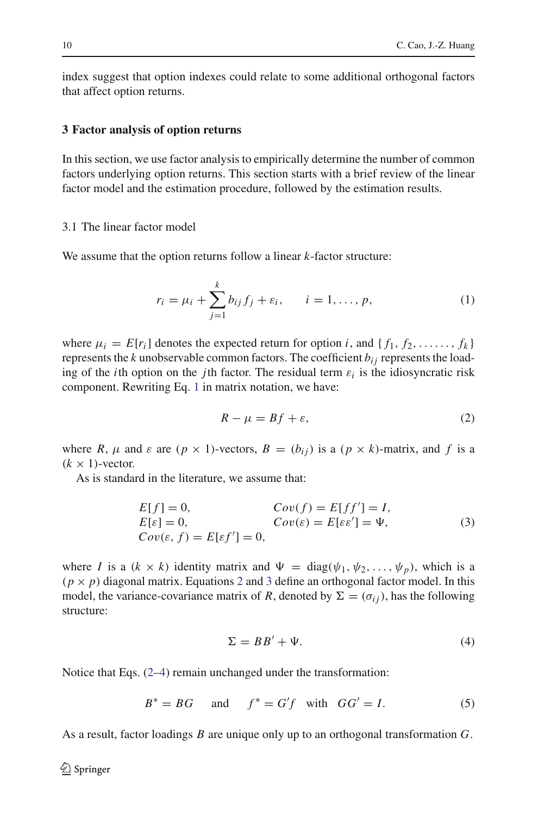index suggest that option indexes could relate to some additional orthogonal factors that affect option returns.

### <span id="page-9-0"></span>**3 Factor analysis of option returns**

In this section, we use factor analysis to empirically determine the number of common factors underlying option returns. This section starts with a brief review of the linear factor model and the estimation procedure, followed by the estimation results.

# 3.1 The linear factor model

<span id="page-9-1"></span>We assume that the option returns follow a linear *k*-factor structure:

$$
r_i = \mu_i + \sum_{j=1}^k b_{ij} f_j + \varepsilon_i, \qquad i = 1, ..., p,
$$
 (1)

where  $\mu_i = E[r_i]$  denotes the expected return for option *i*, and  $\{f_1, f_2, \ldots, f_k\}$ represents the *k* unobservable common factors. The coefficient  $b_{ij}$  represents the loading of the *i*th option on the *j*th factor. The residual term  $\varepsilon_i$  is the idiosyncratic risk component. Rewriting Eq. [1](#page-9-1) in matrix notation, we have:

$$
R - \mu = Bf + \varepsilon,\tag{2}
$$

<span id="page-9-2"></span>where *R*,  $\mu$  and  $\varepsilon$  are ( $p \times 1$ )-vectors,  $B = (b_{ij})$  is a ( $p \times k$ )-matrix, and f is a  $(k \times 1)$ -vector.

As is standard in the literature, we assume that:

$$
E[f] = 0,
$$
  
\n
$$
E[\varepsilon] = 0,
$$
  
\n
$$
Cov(\varepsilon) = E[ff'] = I,
$$
  
\n
$$
Cov(\varepsilon) = E[\varepsilon \varepsilon'] = \Psi,
$$
  
\n
$$
Cov(\varepsilon, f) = E[\varepsilon f'] = 0,
$$
\n(3)

<span id="page-9-3"></span>where *I* is a  $(k \times k)$  identity matrix and  $\Psi = \text{diag}(\psi_1, \psi_2, \dots, \psi_p)$ , which is a  $(p \times p)$  diagonal matrix. Equations [2](#page-9-2) and [3](#page-9-3) define an orthogonal factor model. In this model, the variance-covariance matrix of *R*, denoted by  $\Sigma = (\sigma_{ij})$ , has the following structure:

$$
\Sigma = BB' + \Psi. \tag{4}
$$

<span id="page-9-5"></span>Notice that Eqs. [\(2](#page-9-2)[–4\)](#page-9-4) remain unchanged under the transformation:

<span id="page-9-4"></span>
$$
B^* = BG \quad \text{and} \quad f^* = G'f \quad \text{with} \quad GG' = I. \tag{5}
$$

As a result, factor loadings *B* are unique only up to an orthogonal transformation *G*.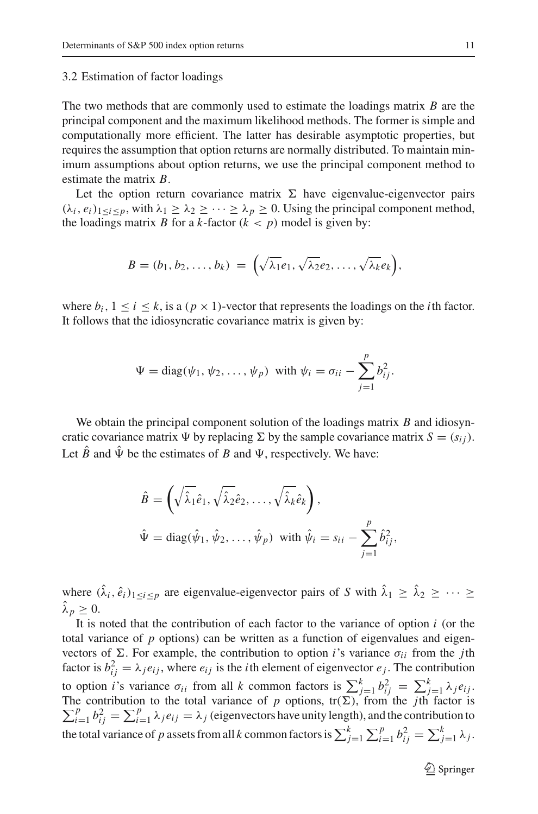#### 3.2 Estimation of factor loadings

The two methods that are commonly used to estimate the loadings matrix *B* are the principal component and the maximum likelihood methods. The former is simple and computationally more efficient. The latter has desirable asymptotic properties, but requires the assumption that option returns are normally distributed. To maintain minimum assumptions about option returns, we use the principal component method to estimate the matrix *B*.

Let the option return covariance matrix  $\Sigma$  have eigenvalue-eigenvector pairs  $(\lambda_i, e_i)_{1 \leq i \leq p}$ , with  $\lambda_1 \geq \lambda_2 \geq \cdots \geq \lambda_p \geq 0$ . Using the principal component method, the loadings matrix *B* for a *k*-factor  $(k < p)$  model is given by:

$$
B=(b_1,b_2,\ldots,b_k)\;=\;\Big(\sqrt{\lambda_1}e_1,\sqrt{\lambda_2}e_2,\ldots,\sqrt{\lambda_k}e_k\Big),
$$

where  $b_i$ ,  $1 \le i \le k$ , is a  $(p \times 1)$ -vector that represents the loadings on the *i*th factor. It follows that the idiosyncratic covariance matrix is given by:

$$
\Psi = \text{diag}(\psi_1, \psi_2, \dots, \psi_p) \text{ with } \psi_i = \sigma_{ii} - \sum_{j=1}^p b_{ij}^2.
$$

We obtain the principal component solution of the loadings matrix *B* and idiosyncratic covariance matrix  $\Psi$  by replacing  $\Sigma$  by the sample covariance matrix  $S = (s_{ij})$ . Let  $\hat{B}$  and  $\hat{\Psi}$  be the estimates of *B* and  $\Psi$ , respectively. We have:

$$
\hat{B} = \left(\sqrt{\hat{\lambda}_1} \hat{e}_1, \sqrt{\hat{\lambda}_2} \hat{e}_2, \dots, \sqrt{\hat{\lambda}_k} \hat{e}_k\right),
$$
  

$$
\hat{\Psi} = \text{diag}(\hat{\psi}_1, \hat{\psi}_2, \dots, \hat{\psi}_p) \text{ with } \hat{\psi}_i = s_{ii} - \sum_{j=1}^p \hat{b}_{ij}^2,
$$

where  $(\hat{\lambda}_i, \hat{e}_i)_{1 \le i \le p}$  are eigenvalue-eigenvector pairs of *S* with  $\hat{\lambda}_1 \ge \hat{\lambda}_2 \ge \cdots \ge$  $\hat{\lambda}_p \geq 0$ .

It is noted that the contribution of each factor to the variance of option  $i$  (or the total variance of  $p$  options) can be written as a function of eigenvalues and eigenvectors of  $\Sigma$ . For example, the contribution to option *i*'s variance  $\sigma_{ii}$  from the *j*th factor is  $b_{ij}^2 = \lambda_j e_{ij}$ , where  $e_{ij}$  is the *i*th element of eigenvector  $e_j$ . The contribution to option *i*'s variance  $\sigma_{ii}$  from all *k* common factors is  $\sum_{j=1}^{k} b_{ij}^2 = \sum_{j=1}^{k} \lambda_j e_{ij}$ .  $\sum_{i=1}^p b_{ij}^2 = \sum_{i=1}^p \lambda_i e_{ij} = \lambda_j$  (eigenvectors have unity length), and the contribution to The contribution to the total variance of *p* options,  $tr(\Sigma)$ , from the *j*th factor is the total variance of *p* assets from all *k* common factors is  $\sum_{j=1}^{k} \sum_{i=1}^{p} b_{ij}^2 = \sum_{j=1}^{k} \lambda_j$ .

<sup>2</sup> Springer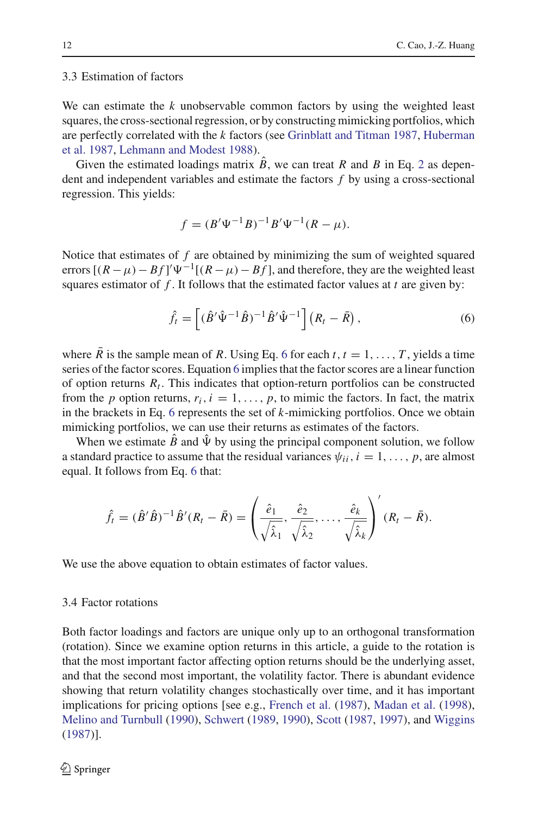# 3.3 Estimation of factors

We can estimate the *k* unobservable common factors by using the weighted least squares, the cross-sectional regression, or by constructing mimicking portfolios, which are perfectly correlated with the *k* factors (see [Grinblatt and Titman 1987](#page-36-17)[,](#page-36-18) Huberman et al. [1987,](#page-36-18) [Lehmann and Modest 1988\)](#page-36-19).

Given the estimated loadings matrix  $B$ , we can treat  $R$  and  $B$  in Eq. [2](#page-9-2) as dependent and independent variables and estimate the factors *f* by using a cross-sectional regression. This yields:

$$
f = (B'\Psi^{-1}B)^{-1}B'\Psi^{-1}(R-\mu).
$$

Notice that estimates of *f* are obtained by minimizing the sum of weighted squared errors  $[(R - \mu) - Bf]'\Psi^{-1}[(R - \mu) - Bf]$ , and therefore, they are the weighted least squares estimator of *f* . It follows that the estimated factor values at *t* are given by:

$$
\hat{f}_t = \left[ (\hat{B}' \hat{\Psi}^{-1} \hat{B})^{-1} \hat{B}' \hat{\Psi}^{-1} \right] (R_t - \bar{R}), \tag{6}
$$

<span id="page-11-0"></span>where *R* is the sample mean of *R*. Using Eq. [6](#page-11-0) for each *t*,  $t = 1, \ldots, T$ , yields a time series of the factor scores. Equation [6](#page-11-0) implies that the factor scores are a linear function of option returns  $R_t$ . This indicates that option-return portfolios can be constructed from the *p* option returns,  $r_i$ ,  $i = 1, \ldots, p$ , to mimic the factors. In fact, the matrix in the brackets in Eq. [6](#page-11-0) represents the set of *k*-mimicking portfolios. Once we obtain mimicking portfolios, we can use their returns as estimates of the factors.

When we estimate  $\hat{B}$  and  $\hat{\Psi}$  by using the principal component solution, we follow a standard practice to assume that the residual variances  $\psi_{ii}$ ,  $i = 1, \ldots, p$ , are almost equal. It follows from Eq. [6](#page-11-0) that:

$$
\hat{f}_t = (\hat{B}'\hat{B})^{-1}\hat{B}'(R_t - \bar{R}) = \left(\frac{\hat{e}_1}{\sqrt{\hat{\lambda}_1}}, \frac{\hat{e}_2}{\sqrt{\hat{\lambda}_2}}, \dots, \frac{\hat{e}_k}{\sqrt{\hat{\lambda}_k}}\right)'(R_t - \bar{R}).
$$

We use the above equation to obtain estimates of factor values.

#### <span id="page-11-1"></span>3.4 Factor rotations

Both factor loadings and factors are unique only up to an orthogonal transformation (rotation). Since we examine option returns in this article, a guide to the rotation is that the most important factor affecting option returns should be the underlying asset, and that the second most important, the volatility factor. There is abundant evidence showing that return volatility changes stochastically over time, and it has important implications for pricing options [see e.g., [French et al.](#page-36-20) [\(1987\)](#page-36-20), [Madan et al.](#page-36-21) [\(1998](#page-36-21)), [Melino and Turnbull](#page-37-6) [\(1990\)](#page-37-6), [Schwert](#page-37-7) [\(1989](#page-37-7), [1990](#page-37-8)), [Scott](#page-37-1) [\(1987,](#page-37-1) [1997\)](#page-37-2), and [Wiggins](#page-37-4) [\(1987\)](#page-37-4)].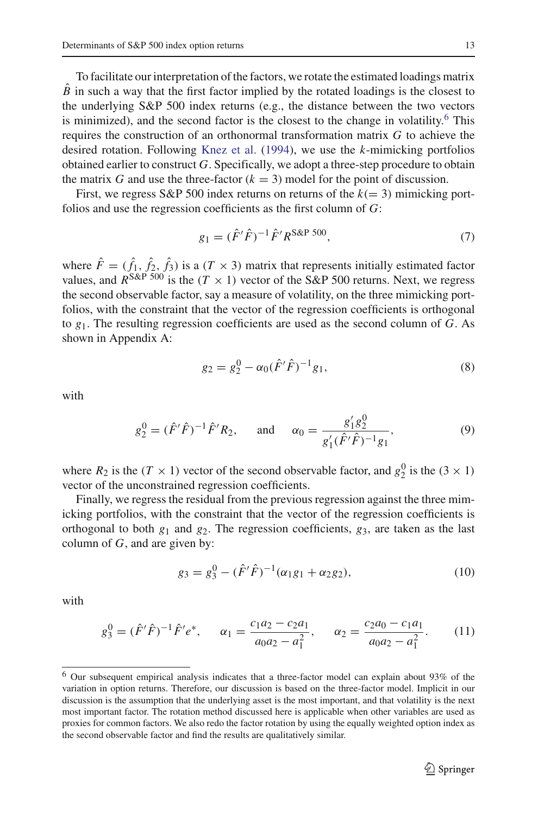To facilitate our interpretation of the factors, we rotate the estimated loadings matrix  $\hat{B}$  in such a way that the first factor implied by the rotated loadings is the closest to the underlying S&P 500 index returns (e.g., the distance between the two vectors is minimized), and the second factor is the closest to the change in volatility.<sup>6</sup> This requires the construction of an orthonormal transformation matrix *G* to achieve the desired rotation. Following [Knez et al.](#page-36-11) [\(1994\)](#page-36-11), we use the *k*-mimicking portfolios obtained earlier to construct *G*. Specifically, we adopt a three-step procedure to obtain the matrix *G* and use the three-factor  $(k = 3)$  model for the point of discussion.

First, we regress  $S\&P 500$  index returns on returns of the  $k(= 3)$  mimicking portfolios and use the regression coefficients as the first column of *G*:

$$
g_1 = (\hat{F}'\hat{F})^{-1}\hat{F}'R^{S\&P\ 500},\tag{7}
$$

<span id="page-12-1"></span>where  $\hat{F} = (\hat{f}_1, \hat{f}_2, \hat{f}_3)$  is a  $(T \times 3)$  matrix that represents initially estimated factor values, and  $R^{S\&P\ 500}$  is the  $(T \times 1)$  vector of the S&P 500 returns. Next, we regress the second observable factor, say a measure of volatility, on the three mimicking portfolios, with the constraint that the vector of the regression coefficients is orthogonal to *g*1. The resulting regression coefficients are used as the second column of *G*. As shown in Appendix A:

$$
g_2 = g_2^0 - \alpha_0 (\hat{F}'\hat{F})^{-1} g_1,\tag{8}
$$

<span id="page-12-2"></span>with

$$
g_2^0 = (\hat{F}'\hat{F})^{-1}\hat{F}'R_2, \quad \text{and} \quad \alpha_0 = \frac{g_1'g_2^0}{g_1'(\hat{F}'\hat{F})^{-1}g_1}, \tag{9}
$$

where  $R_2$  is the  $(T \times 1)$  vector of the second observable factor, and  $g_2^0$  is the  $(3 \times 1)$ vector of the unconstrained regression coefficients.

Finally, we regress the residual from the previous regression against the three mimicking portfolios, with the constraint that the vector of the regression coefficients is orthogonal to both  $g_1$  and  $g_2$ . The regression coefficients,  $g_3$ , are taken as the last column of *G*, and are given by:

$$
g_3 = g_3^0 - (\hat{F}'\hat{F})^{-1}(\alpha_1 g_1 + \alpha_2 g_2),\tag{10}
$$

<span id="page-12-3"></span>with

$$
g_3^0 = (\hat{F}'\hat{F})^{-1}\hat{F}'e^*, \qquad \alpha_1 = \frac{c_1a_2 - c_2a_1}{a_0a_2 - a_1^2}, \qquad \alpha_2 = \frac{c_2a_0 - c_1a_1}{a_0a_2 - a_1^2}.\tag{11}
$$

<span id="page-12-0"></span><sup>6</sup> Our subsequent empirical analysis indicates that a three-factor model can explain about 93% of the variation in option returns. Therefore, our discussion is based on the three-factor model. Implicit in our discussion is the assumption that the underlying asset is the most important, and that volatility is the next most important factor. The rotation method discussed here is applicable when other variables are used as proxies for common factors. We also redo the factor rotation by using the equally weighted option index as the second observable factor and find the results are qualitatively similar.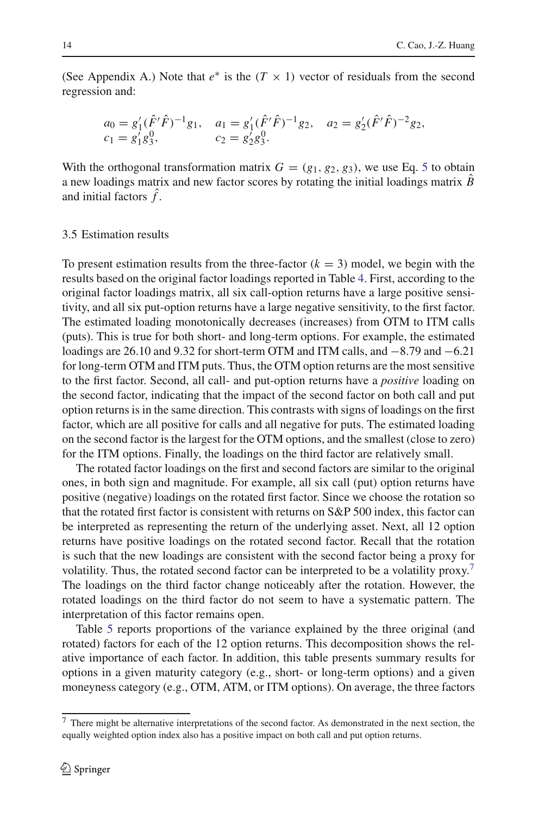(See Appendix A.) Note that  $e^*$  is the  $(T \times 1)$  vector of residuals from the second regression and:

$$
a_0 = g'_1(\hat{F}'\hat{F})^{-1}g_1, \quad a_1 = g'_1(\hat{F}'\hat{F})^{-1}g_2, \quad a_2 = g'_2(\hat{F}'\hat{F})^{-2}g_2, c_1 = g'_1g_3^0, \qquad c_2 = g'_2g_3^0.
$$

With the orthogonal transformation matrix  $G = (g_1, g_2, g_3)$ , we use Eq. [5](#page-9-5) to obtain a new loadings matrix and new factor scores by rotating the initial loadings matrix *B* and initial factors  $\hat{f}$ .

### 3.5 Estimation results

To present estimation results from the three-factor  $(k = 3)$  model, we begin with the results based on the original factor loadings reported in Table [4.](#page-14-0) First, according to the original factor loadings matrix, all six call-option returns have a large positive sensitivity, and all six put-option returns have a large negative sensitivity, to the first factor. The estimated loading monotonically decreases (increases) from OTM to ITM calls (puts). This is true for both short- and long-term options. For example, the estimated loadings are 26.10 and 9.32 for short-term OTM and ITM calls, and −8.79 and −6.21 for long-term OTM and ITM puts. Thus, the OTM option returns are the most sensitive to the first factor. Second, all call- and put-option returns have a *positive* loading on the second factor, indicating that the impact of the second factor on both call and put option returns is in the same direction. This contrasts with signs of loadings on the first factor, which are all positive for calls and all negative for puts. The estimated loading on the second factor is the largest for the OTM options, and the smallest (close to zero) for the ITM options. Finally, the loadings on the third factor are relatively small.

The rotated factor loadings on the first and second factors are similar to the original ones, in both sign and magnitude. For example, all six call (put) option returns have positive (negative) loadings on the rotated first factor. Since we choose the rotation so that the rotated first factor is consistent with returns on S&P 500 index, this factor can be interpreted as representing the return of the underlying asset. Next, all 12 option returns have positive loadings on the rotated second factor. Recall that the rotation is such that the new loadings are consistent with the second factor being a proxy for volatility. Thus, the rotated second factor can be interpreted to be a volatility proxy.<sup>7</sup> The loadings on the third factor change noticeably after the rotation. However, the rotated loadings on the third factor do not seem to have a systematic pattern. The interpretation of this factor remains open.

Table [5](#page-15-0) reports proportions of the variance explained by the three original (and rotated) factors for each of the 12 option returns. This decomposition shows the relative importance of each factor. In addition, this table presents summary results for options in a given maturity category (e.g., short- or long-term options) and a given moneyness category (e.g., OTM, ATM, or ITM options). On average, the three factors

<span id="page-13-0"></span><sup>7</sup> There might be alternative interpretations of the second factor. As demonstrated in the next section, the equally weighted option index also has a positive impact on both call and put option returns.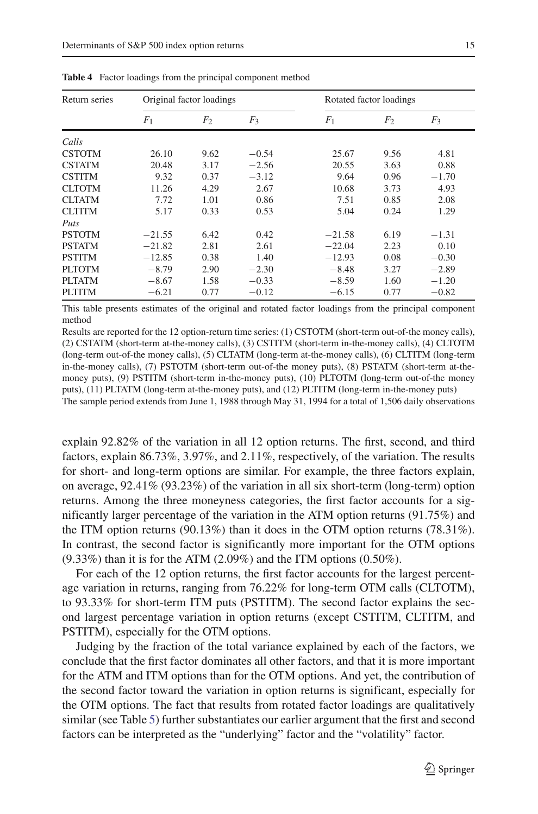<span id="page-14-0"></span>

| Return series |                | Original factor loadings |         |                | Rotated factor loadings |         |
|---------------|----------------|--------------------------|---------|----------------|-------------------------|---------|
|               | F <sub>1</sub> | F <sub>2</sub>           | $F_3$   | F <sub>1</sub> | F <sub>2</sub>          | $F_3$   |
| Calls         |                |                          |         |                |                         |         |
| <b>CSTOTM</b> | 26.10          | 9.62                     | $-0.54$ | 25.67          | 9.56                    | 4.81    |
| <b>CSTATM</b> | 20.48          | 3.17                     | $-2.56$ | 20.55          | 3.63                    | 0.88    |
| <b>CSTITM</b> | 9.32           | 0.37                     | $-3.12$ | 9.64           | 0.96                    | $-1.70$ |
| <b>CLTOTM</b> | 11.26          | 4.29                     | 2.67    | 10.68          | 3.73                    | 4.93    |
| <b>CLTATM</b> | 7.72           | 1.01                     | 0.86    | 7.51           | 0.85                    | 2.08    |
| <b>CLTITM</b> | 5.17           | 0.33                     | 0.53    | 5.04           | 0.24                    | 1.29    |
| Puts          |                |                          |         |                |                         |         |
| <b>PSTOTM</b> | $-21.55$       | 6.42                     | 0.42    | $-21.58$       | 6.19                    | $-1.31$ |
| <b>PSTATM</b> | $-21.82$       | 2.81                     | 2.61    | $-22.04$       | 2.23                    | 0.10    |
| <b>PSTITM</b> | $-12.85$       | 0.38                     | 1.40    | $-12.93$       | 0.08                    | $-0.30$ |
| PLTOTM        | $-8.79$        | 2.90                     | $-2.30$ | $-8.48$        | 3.27                    | $-2.89$ |
| <b>PLTATM</b> | $-8.67$        | 1.58                     | $-0.33$ | $-8.59$        | 1.60                    | $-1.20$ |
| <b>PLTITM</b> | $-6.21$        | 0.77                     | $-0.12$ | $-6.15$        | 0.77                    | $-0.82$ |

**Table 4** Factor loadings from the principal component method

This table presents estimates of the original and rotated factor loadings from the principal component method

Results are reported for the 12 option-return time series: (1) CSTOTM (short-term out-of-the money calls), (2) CSTATM (short-term at-the-money calls), (3) CSTITM (short-term in-the-money calls), (4) CLTOTM (long-term out-of-the money calls), (5) CLTATM (long-term at-the-money calls), (6) CLTITM (long-term in-the-money calls), (7) PSTOTM (short-term out-of-the money puts), (8) PSTATM (short-term at-themoney puts), (9) PSTITM (short-term in-the-money puts), (10) PLTOTM (long-term out-of-the money puts), (11) PLTATM (long-term at-the-money puts), and (12) PLTITM (long-term in-the-money puts) The sample period extends from June 1, 1988 through May 31, 1994 for a total of 1,506 daily observations

explain 92.82% of the variation in all 12 option returns. The first, second, and third factors, explain 86.73%, 3.97%, and 2.11%, respectively, of the variation. The results for short- and long-term options are similar. For example, the three factors explain, on average, 92.41% (93.23%) of the variation in all six short-term (long-term) option returns. Among the three moneyness categories, the first factor accounts for a significantly larger percentage of the variation in the ATM option returns (91.75%) and the ITM option returns (90.13%) than it does in the OTM option returns (78.31%). In contrast, the second factor is significantly more important for the OTM options  $(9.33\%)$  than it is for the ATM  $(2.09\%)$  and the ITM options  $(0.50\%).$ 

For each of the 12 option returns, the first factor accounts for the largest percentage variation in returns, ranging from 76.22% for long-term OTM calls (CLTOTM), to 93.33% for short-term ITM puts (PSTITM). The second factor explains the second largest percentage variation in option returns (except CSTITM, CLTITM, and PSTITM), especially for the OTM options.

Judging by the fraction of the total variance explained by each of the factors, we conclude that the first factor dominates all other factors, and that it is more important for the ATM and ITM options than for the OTM options. And yet, the contribution of the second factor toward the variation in option returns is significant, especially for the OTM options. The fact that results from rotated factor loadings are qualitatively similar (see Table [5\)](#page-15-0) further substantiates our earlier argument that the first and second factors can be interpreted as the "underlying" factor and the "volatility" factor.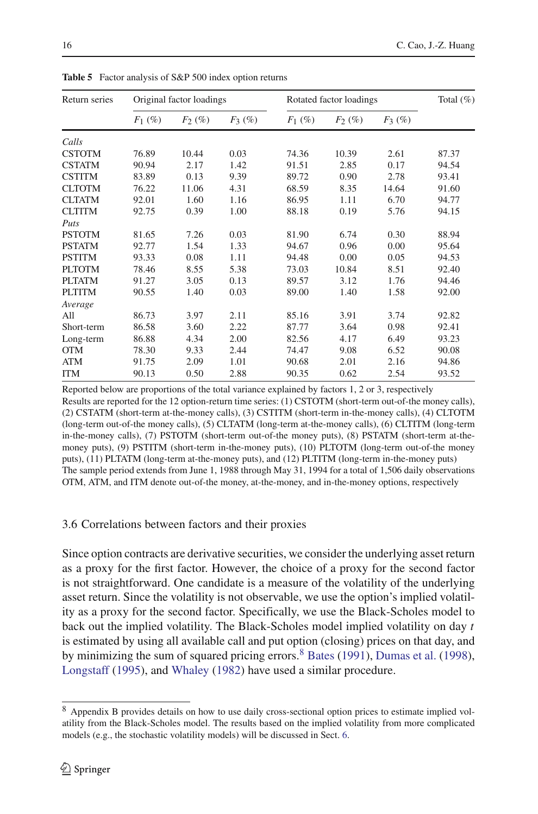<span id="page-15-0"></span>

| Return series |           | Original factor loadings |          |           | Rotated factor loadings |          | Total $(\%)$ |
|---------------|-----------|--------------------------|----------|-----------|-------------------------|----------|--------------|
|               | $F_1$ (%) | $F_2(\%)$                | $F_3(%)$ | $F_1$ (%) | $F_2(\%)$               | $F_3(%)$ |              |
| Calls         |           |                          |          |           |                         |          |              |
| <b>CSTOTM</b> | 76.89     | 10.44                    | 0.03     | 74.36     | 10.39                   | 2.61     | 87.37        |
| <b>CSTATM</b> | 90.94     | 2.17                     | 1.42     | 91.51     | 2.85                    | 0.17     | 94.54        |
| <b>CSTITM</b> | 83.89     | 0.13                     | 9.39     | 89.72     | 0.90                    | 2.78     | 93.41        |
| <b>CLTOTM</b> | 76.22     | 11.06                    | 4.31     | 68.59     | 8.35                    | 14.64    | 91.60        |
| <b>CLTATM</b> | 92.01     | 1.60                     | 1.16     | 86.95     | 1.11                    | 6.70     | 94.77        |
| <b>CLTITM</b> | 92.75     | 0.39                     | 1.00     | 88.18     | 0.19                    | 5.76     | 94.15        |
| Puts          |           |                          |          |           |                         |          |              |
| <b>PSTOTM</b> | 81.65     | 7.26                     | 0.03     | 81.90     | 6.74                    | 0.30     | 88.94        |
| <b>PSTATM</b> | 92.77     | 1.54                     | 1.33     | 94.67     | 0.96                    | 0.00     | 95.64        |
| <b>PSTITM</b> | 93.33     | 0.08                     | 1.11     | 94.48     | 0.00                    | 0.05     | 94.53        |
| <b>PLTOTM</b> | 78.46     | 8.55                     | 5.38     | 73.03     | 10.84                   | 8.51     | 92.40        |
| <b>PLTATM</b> | 91.27     | 3.05                     | 0.13     | 89.57     | 3.12                    | 1.76     | 94.46        |
| <b>PLTITM</b> | 90.55     | 1.40                     | 0.03     | 89.00     | 1.40                    | 1.58     | 92.00        |
| Average       |           |                          |          |           |                         |          |              |
| All           | 86.73     | 3.97                     | 2.11     | 85.16     | 3.91                    | 3.74     | 92.82        |
| Short-term    | 86.58     | 3.60                     | 2.22     | 87.77     | 3.64                    | 0.98     | 92.41        |
| Long-term     | 86.88     | 4.34                     | 2.00     | 82.56     | 4.17                    | 6.49     | 93.23        |
| <b>OTM</b>    | 78.30     | 9.33                     | 2.44     | 74.47     | 9.08                    | 6.52     | 90.08        |
| <b>ATM</b>    | 91.75     | 2.09                     | 1.01     | 90.68     | 2.01                    | 2.16     | 94.86        |
| <b>ITM</b>    | 90.13     | 0.50                     | 2.88     | 90.35     | 0.62                    | 2.54     | 93.52        |

**Table 5** Factor analysis of S&P 500 index option returns

Reported below are proportions of the total variance explained by factors 1, 2 or 3, respectively Results are reported for the 12 option-return time series: (1) CSTOTM (short-term out-of-the money calls), (2) CSTATM (short-term at-the-money calls), (3) CSTITM (short-term in-the-money calls), (4) CLTOTM (long-term out-of-the money calls), (5) CLTATM (long-term at-the-money calls), (6) CLTITM (long-term in-the-money calls), (7) PSTOTM (short-term out-of-the money puts), (8) PSTATM (short-term at-themoney puts), (9) PSTITM (short-term in-the-money puts), (10) PLTOTM (long-term out-of-the money puts), (11) PLTATM (long-term at-the-money puts), and (12) PLTITM (long-term in-the-money puts) The sample period extends from June 1, 1988 through May 31, 1994 for a total of 1,506 daily observations OTM, ATM, and ITM denote out-of-the money, at-the-money, and in-the-money options, respectively

# 3.6 Correlations between factors and their proxies

Since option contracts are derivative securities, we consider the underlying asset return as a proxy for the first factor. However, the choice of a proxy for the second factor is not straightforward. One candidate is a measure of the volatility of the underlying asset return. Since the volatility is not observable, we use the option's implied volatility as a proxy for the second factor. Specifically, we use the Black-Scholes model to back out the implied volatility. The Black-Scholes model implied volatility on day *t* is estimated by using all available call and put option (closing) prices on that day, and by minimizing the sum of squared pricing errors.<sup>[8](#page-15-1)</sup> [Bates](#page-36-15) [\(1991\)](#page-36-15), [Dumas et al.](#page-36-16) [\(1998](#page-36-16)), [Longstaff](#page-36-22) [\(1995\)](#page-36-22), and [Whaley](#page-37-9) [\(1982\)](#page-37-9) have used a similar procedure.

<span id="page-15-1"></span><sup>8</sup> Appendix B provides details on how to use daily cross-sectional option prices to estimate implied volatility from the Black-Scholes model. The results based on the implied volatility from more complicated models (e.g., the stochastic volatility models) will be discussed in Sect. [6.](#page-30-0)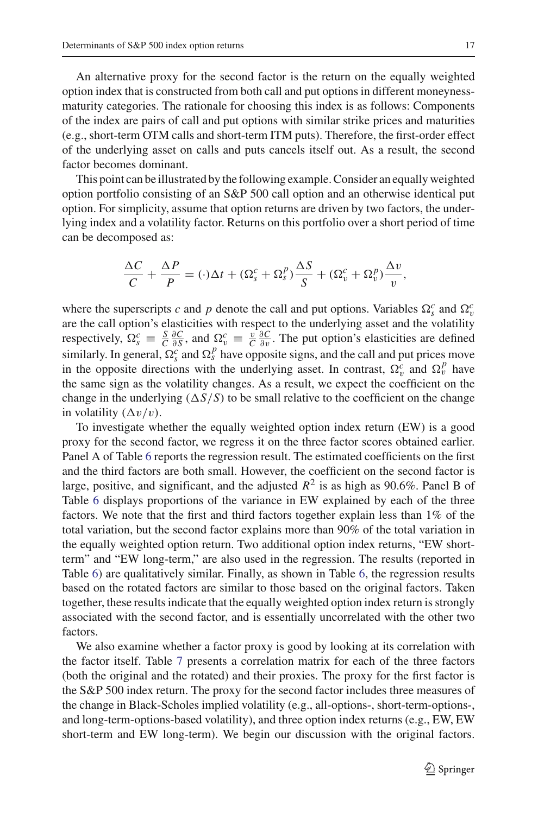An alternative proxy for the second factor is the return on the equally weighted option index that is constructed from both call and put options in different moneynessmaturity categories. The rationale for choosing this index is as follows: Components of the index are pairs of call and put options with similar strike prices and maturities (e.g., short-term OTM calls and short-term ITM puts). Therefore, the first-order effect of the underlying asset on calls and puts cancels itself out. As a result, the second factor becomes dominant.

This point can be illustrated by the following example. Consider an equally weighted option portfolio consisting of an S&P 500 call option and an otherwise identical put option. For simplicity, assume that option returns are driven by two factors, the underlying index and a volatility factor. Returns on this portfolio over a short period of time can be decomposed as:

$$
\frac{\Delta C}{C} + \frac{\Delta P}{P} = (\cdot)\Delta t + (\Omega_s^c + \Omega_s^p)\frac{\Delta S}{S} + (\Omega_v^c + \Omega_v^p)\frac{\Delta v}{v},
$$

where the superscripts *c* and *p* denote the call and put options. Variables  $\Omega_s^c$  and  $\Omega_t^c$ are the call option's elasticities with respect to the underlying asset and the volatility respectively,  $\Omega_s^c \equiv \frac{S}{C} \frac{\partial C}{\partial S}$ , and  $\Omega_v^c \equiv \frac{v}{C} \frac{\partial C}{\partial v}$ . The put option's elasticities are defined similarly. In general,  $\Omega_s^c$  and  $\Omega_s^p$  have opposite signs, and the call and put prices move in the opposite directions with the underlying asset. In contrast,  $\Omega_v^c$  and  $\Omega_v^p$  have the same sign as the volatility changes. As a result, we expect the coefficient on the change in the underlying  $(\Delta S/S)$  to be small relative to the coefficient on the change in volatility  $(\Delta v/v)$ .

To investigate whether the equally weighted option index return (EW) is a good proxy for the second factor, we regress it on the three factor scores obtained earlier. Panel A of Table [6](#page-17-0) reports the regression result. The estimated coefficients on the first and the third factors are both small. However, the coefficient on the second factor is large, positive, and significant, and the adjusted  $R^2$  is as high as 90.6%. Panel B of Table [6](#page-17-0) displays proportions of the variance in EW explained by each of the three factors. We note that the first and third factors together explain less than 1% of the total variation, but the second factor explains more than 90% of the total variation in the equally weighted option return. Two additional option index returns, "EW shortterm" and "EW long-term," are also used in the regression. The results (reported in Table [6\)](#page-17-0) are qualitatively similar. Finally, as shown in Table [6,](#page-17-0) the regression results based on the rotated factors are similar to those based on the original factors. Taken together, these results indicate that the equally weighted option index return is strongly associated with the second factor, and is essentially uncorrelated with the other two factors.

We also examine whether a factor proxy is good by looking at its correlation with the factor itself. Table [7](#page-18-1) presents a correlation matrix for each of the three factors (both the original and the rotated) and their proxies. The proxy for the first factor is the S&P 500 index return. The proxy for the second factor includes three measures of the change in Black-Scholes implied volatility (e.g., all-options-, short-term-options-, and long-term-options-based volatility), and three option index returns (e.g., EW, EW short-term and EW long-term). We begin our discussion with the original factors.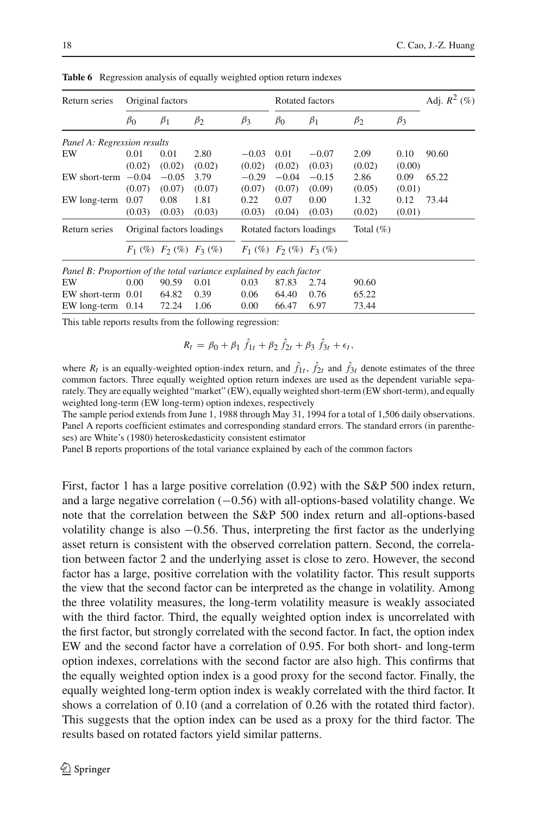<span id="page-17-0"></span>

| Return series                                                      |           | Original factors              |           |           | Rotated factors               |           |               |           | Adj. $R^2$ (%) |
|--------------------------------------------------------------------|-----------|-------------------------------|-----------|-----------|-------------------------------|-----------|---------------|-----------|----------------|
|                                                                    | $\beta_0$ | $\beta_1$                     | $\beta_2$ | $\beta_3$ | $\beta_0$                     | $\beta_1$ | $\beta_2$     | $\beta_3$ |                |
| Panel A: Regression results                                        |           |                               |           |           |                               |           |               |           |                |
| EW                                                                 | 0.01      | 0.01                          | 2.80      | $-0.03$   | 0.01                          | $-0.07$   | 2.09          | 0.10      | 90.60          |
|                                                                    | (0.02)    | (0.02)                        | (0.02)    | (0.02)    | (0.02)                        | (0.03)    | (0.02)        | (0.00)    |                |
| EW short-term                                                      | $-0.04$   | $-0.05$                       | 3.79      | $-0.29$   | $-0.04$                       | $-0.15$   | 2.86          | 0.09      | 65.22          |
|                                                                    | (0.07)    | (0.07)                        | (0.07)    | (0.07)    | (0.07)                        | (0.09)    | (0.05)        | (0.01)    |                |
| EW long-term                                                       | 0.07      | 0.08                          | 1.81      | 0.22      | 0.07                          | 0.00      | 1.32          | 0.12      | 73.44          |
|                                                                    | (0.03)    | (0.03)                        | (0.03)    | (0.03)    | (0.04)                        | (0.03)    | (0.02)        | (0.01)    |                |
| Return series                                                      |           | Original factors loadings     |           |           | Rotated factors loadings      |           | Total $(\% )$ |           |                |
|                                                                    |           | $F_1$ (%) $F_2$ (%) $F_3$ (%) |           |           | $F_1$ (%) $F_2$ (%) $F_3$ (%) |           |               |           |                |
| Panel B: Proportion of the total variance explained by each factor |           |                               |           |           |                               |           |               |           |                |
| EW                                                                 | 0.00      | 90.59                         | 0.01      | 0.03      | 87.83                         | 2.74      | 90.60         |           |                |
| EW short-term                                                      | 0.01      | 64.82                         | 0.39      | 0.06      | 64.40                         | 0.76      | 65.22         |           |                |
| EW long-term                                                       | 0.14      | 72.24                         | 1.06      | 0.00      | 66.47                         | 6.97      | 73.44         |           |                |

**Table 6** Regression analysis of equally weighted option return indexes

This table reports results from the following regression:

$$
R_t = \beta_0 + \beta_1 \hat{f}_{1t} + \beta_2 \hat{f}_{2t} + \beta_3 \hat{f}_{3t} + \epsilon_t,
$$

where  $R_t$  is an equally-weighted option-index return, and  $f_{1t}$ ,  $f_{2t}$  and  $f_{3t}$  denote estimates of the three common factors. Three equally weighted option return indexes are used as the dependent variable separately. They are equally weighted "market" (EW), equally weighted short-term (EW short-term), and equally weighted long-term (EW long-term) option indexes, respectively

The sample period extends from June 1, 1988 through May 31, 1994 for a total of 1,506 daily observations. Panel A reports coefficient estimates and corresponding standard errors. The standard errors (in parentheses) are White's (1980) heteroskedasticity consistent estimator

Panel B reports proportions of the total variance explained by each of the common factors

First, factor 1 has a large positive correlation (0.92) with the S&P 500 index return, and a large negative correlation (−0.56) with all-options-based volatility change. We note that the correlation between the S&P 500 index return and all-options-based volatility change is also −0.56. Thus, interpreting the first factor as the underlying asset return is consistent with the observed correlation pattern. Second, the correlation between factor 2 and the underlying asset is close to zero. However, the second factor has a large, positive correlation with the volatility factor. This result supports the view that the second factor can be interpreted as the change in volatility. Among the three volatility measures, the long-term volatility measure is weakly associated with the third factor. Third, the equally weighted option index is uncorrelated with the first factor, but strongly correlated with the second factor. In fact, the option index EW and the second factor have a correlation of 0.95. For both short- and long-term option indexes, correlations with the second factor are also high. This confirms that the equally weighted option index is a good proxy for the second factor. Finally, the equally weighted long-term option index is weakly correlated with the third factor. It shows a correlation of 0.10 (and a correlation of 0.26 with the rotated third factor). This suggests that the option index can be used as a proxy for the third factor. The results based on rotated factors yield similar patterns.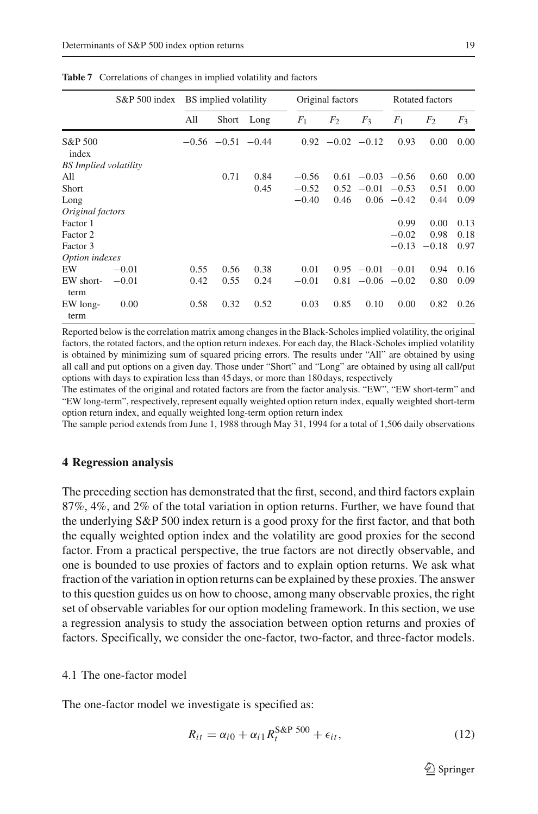|                              | $S\&P 500$ index |      | BS implied volatility   |      |                | Original factors   |                |                 | Rotated factors |       |
|------------------------------|------------------|------|-------------------------|------|----------------|--------------------|----------------|-----------------|-----------------|-------|
|                              |                  | All  | Short                   | Long | F <sub>1</sub> | F <sub>2</sub>     | $F_3$          | F <sub>1</sub>  | F <sub>2</sub>  | $F_3$ |
| S&P 500<br>index             |                  |      | $-0.56$ $-0.51$ $-0.44$ |      |                | $0.92 -0.02 -0.12$ |                | 0.93            | 0.00            | 0.00  |
| <b>BS</b> Implied volatility |                  |      |                         |      |                |                    |                |                 |                 |       |
| All                          |                  |      | 0.71                    | 0.84 | $-0.56$        | 0.61               |                | $-0.03 -0.56$   | 0.60            | 0.00  |
| Short                        |                  |      |                         | 0.45 | $-0.52$        | 0.52               | $-0.01$        | $-0.53$         | 0.51            | 0.00  |
| Long                         |                  |      |                         |      | $-0.40$        | 0.46               |                | $0.06 - 0.42$   | 0.44            | 0.09  |
| Original factors             |                  |      |                         |      |                |                    |                |                 |                 |       |
| Factor 1                     |                  |      |                         |      |                |                    |                | 0.99            | 0.00            | 0.13  |
| Factor 2                     |                  |      |                         |      |                |                    |                | $-0.02$         | 0.98            | 0.18  |
| Factor 3                     |                  |      |                         |      |                |                    |                | $-0.13$         | $-0.18$         | 0.97  |
| Option indexes               |                  |      |                         |      |                |                    |                |                 |                 |       |
| EW                           | $-0.01$          | 0.55 | 0.56                    | 0.38 | 0.01           | 0.95               | $-0.01 - 0.01$ |                 | 0.94            | 0.16  |
| EW short-<br>term            | $-0.01$          | 0.42 | 0.55                    | 0.24 | $-0.01$        | 0.81               |                | $-0.06$ $-0.02$ | 0.80            | 0.09  |
| EW long-<br>term             | 0.00             | 0.58 | 0.32                    | 0.52 | 0.03           | 0.85               | 0.10           | 0.00            | 0.82            | 0.26  |

<span id="page-18-1"></span>**Table 7** Correlations of changes in implied volatility and factors

Reported below is the correlation matrix among changes in the Black-Scholes implied volatility, the original factors, the rotated factors, and the option return indexes. For each day, the Black-Scholes implied volatility is obtained by minimizing sum of squared pricing errors. The results under "All" are obtained by using all call and put options on a given day. Those under "Short" and "Long" are obtained by using all call/put options with days to expiration less than 45 days, or more than 180 days, respectively

The estimates of the original and rotated factors are from the factor analysis. "EW", "EW short-term" and "EW long-term", respectively, represent equally weighted option return index, equally weighted short-term option return index, and equally weighted long-term option return index

The sample period extends from June 1, 1988 through May 31, 1994 for a total of 1,506 daily observations

### <span id="page-18-0"></span>**4 Regression analysis**

The preceding section has demonstrated that the first, second, and third factors explain 87%, 4%, and 2% of the total variation in option returns. Further, we have found that the underlying S&P 500 index return is a good proxy for the first factor, and that both the equally weighted option index and the volatility are good proxies for the second factor. From a practical perspective, the true factors are not directly observable, and one is bounded to use proxies of factors and to explain option returns. We ask what fraction of the variation in option returns can be explained by these proxies. The answer to this question guides us on how to choose, among many observable proxies, the right set of observable variables for our option modeling framework. In this section, we use a regression analysis to study the association between option returns and proxies of factors. Specifically, we consider the one-factor, two-factor, and three-factor models.

# 4.1 The one-factor model

<span id="page-18-2"></span>The one-factor model we investigate is specified as:

$$
R_{it} = \alpha_{i0} + \alpha_{i1} R_t^{S\&P\,500} + \epsilon_{it},\tag{12}
$$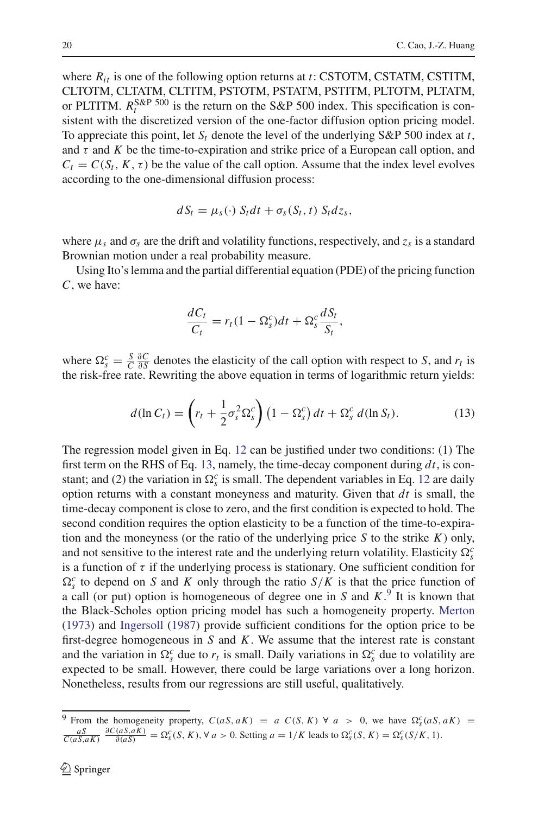where *Rit* is one of the following option returns at *t*: CSTOTM, CSTATM, CSTITM, CLTOTM, CLTATM, CLTITM, PSTOTM, PSTATM, PSTITM, PLTOTM, PLTATM, or PLTITM.  $R_t^{S\&P\,500}$  is the return on the S&P 500 index. This specification is consistent with the discretized version of the one-factor diffusion option pricing model. To appreciate this point, let  $S_t$  denote the level of the underlying S&P 500 index at *t*, and  $\tau$  and  $K$  be the time-to-expiration and strike price of a European call option, and  $C_t = C(S_t, K, \tau)$  be the value of the call option. Assume that the index level evolves according to the one-dimensional diffusion process:

$$
dS_t = \mu_s(\cdot) S_t dt + \sigma_s(S_t, t) S_t dz_s,
$$

where  $\mu_s$  and  $\sigma_s$  are the drift and volatility functions, respectively, and  $z_s$  is a standard Brownian motion under a real probability measure.

Using Ito's lemma and the partial differential equation (PDE) of the pricing function *C*, we have:

$$
\frac{dC_t}{C_t} = r_t(1 - \Omega_s^c)dt + \Omega_s^c \frac{dS_t}{S_t},
$$

where  $\Omega_s^c = \frac{S}{C} \frac{\partial C}{\partial S}$  denotes the elasticity of the call option with respect to *S*, and  $r_t$  is the risk-free rate. Rewriting the above equation in terms of logarithmic return yields:

$$
d(\ln C_t) = \left(r_t + \frac{1}{2}\sigma_s^2 \Omega_s^c\right) \left(1 - \Omega_s^c\right) dt + \Omega_s^c d(\ln S_t). \tag{13}
$$

<span id="page-19-0"></span>The regression model given in Eq. [12](#page-18-2) can be justified under two conditions: (1) The first term on the RHS of Eq. [13,](#page-19-0) namely, the time-decay component during *dt*, is constant; and (2) the variation in  $\Omega_s^c$  is small. The dependent variables in Eq. [12](#page-18-2) are daily option returns with a constant moneyness and maturity. Given that *dt* is small, the time-decay component is close to zero, and the first condition is expected to hold. The second condition requires the option elasticity to be a function of the time-to-expiration and the moneyness (or the ratio of the underlying price *S* to the strike *K*) only, and not sensitive to the interest rate and the underlying return volatility. Elasticity  $\Omega_s^c$ is a function of  $\tau$  if the underlying process is stationary. One sufficient condition for  $\Omega_s^c$  to depend on *S* and *K* only through the ratio *S*/*K* is that the price function of a call (or put) option is homogeneous of degree one in *S* and *K*. [9](#page-19-1) It is known that the Black-Scholes option pricing model has such a homogeneity property. [Merton](#page-37-0) [\(1973\)](#page-37-0) and [Ingersoll](#page-36-23) [\(1987](#page-36-23)) provide sufficient conditions for the option price to be first-degree homogeneous in *S* and *K*. We assume that the interest rate is constant and the variation in  $\Omega_s^c$  due to  $r_t$  is small. Daily variations in  $\Omega_s^c$  due to volatility are expected to be small. However, there could be large variations over a long horizon. Nonetheless, results from our regressions are still useful, qualitatively.

<span id="page-19-1"></span><sup>&</sup>lt;sup>9</sup> From the homogeneity property,  $C(aS, aK) = a C(S, K) \forall a > 0$ , we have  $\Omega_s^c(aS, aK) =$  $\frac{aS}{C(aS,aK)} \frac{\partial C(aS,aK)}{\partial(aS)} = \Omega_S^c(S, K), \forall a > 0.$  Setting  $a = 1/K$  leads to  $\Omega_S^c(S, K) = \Omega_S^c(S/K, 1)$ .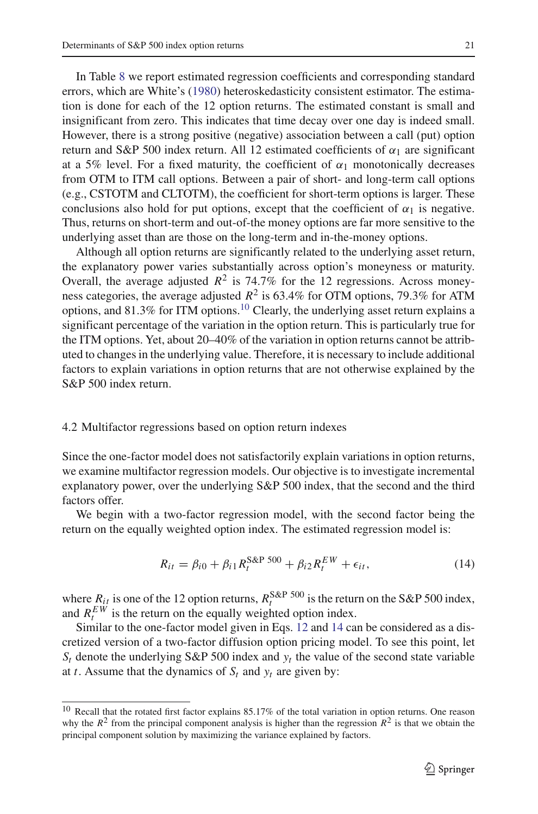In Table [8](#page-21-0) we report estimated regression coefficients and corresponding standard errors, which are White's [\(1980\)](#page-37-10) heteroskedasticity consistent estimator. The estimation is done for each of the 12 option returns. The estimated constant is small and insignificant from zero. This indicates that time decay over one day is indeed small. However, there is a strong positive (negative) association between a call (put) option return and S&P 500 index return. All 12 estimated coefficients of  $\alpha_1$  are significant at a 5% level. For a fixed maturity, the coefficient of  $\alpha_1$  monotonically decreases from OTM to ITM call options. Between a pair of short- and long-term call options (e.g., CSTOTM and CLTOTM), the coefficient for short-term options is larger. These conclusions also hold for put options, except that the coefficient of  $\alpha_1$  is negative. Thus, returns on short-term and out-of-the money options are far more sensitive to the underlying asset than are those on the long-term and in-the-money options.

Although all option returns are significantly related to the underlying asset return, the explanatory power varies substantially across option's moneyness or maturity. Overall, the average adjusted  $R^2$  is 74.7% for the 12 regressions. Across moneyness categories, the average adjusted  $R^2$  is 63.4% for OTM options, 79.3% for ATM options, and  $81.3\%$  for ITM options.<sup>[10](#page-20-0)</sup> Clearly, the underlying asset return explains a significant percentage of the variation in the option return. This is particularly true for the ITM options. Yet, about 20–40% of the variation in option returns cannot be attributed to changes in the underlying value. Therefore, it is necessary to include additional factors to explain variations in option returns that are not otherwise explained by the S&P 500 index return.

# 4.2 Multifactor regressions based on option return indexes

Since the one-factor model does not satisfactorily explain variations in option returns, we examine multifactor regression models. Our objective is to investigate incremental explanatory power, over the underlying S&P 500 index, that the second and the third factors offer.

We begin with a two-factor regression model, with the second factor being the return on the equally weighted option index. The estimated regression model is:

$$
R_{it} = \beta_{i0} + \beta_{i1} R_t^{\text{S\&P 500}} + \beta_{i2} R_t^{\text{EW}} + \epsilon_{it}, \tag{14}
$$

<span id="page-20-1"></span>where  $R_{it}$  is one of the 12 option returns,  $R_t^{\text{S&P 500}}$  is the return on the S&P 500 index, and  $R_t^{EW}$  is the return on the equally weighted option index.

Similar to the one-factor model given in Eqs. [12](#page-18-2) and [14](#page-20-1) can be considered as a discretized version of a two-factor diffusion option pricing model. To see this point, let  $S_t$  denote the underlying S&P 500 index and  $y_t$  the value of the second state variable at *t*. Assume that the dynamics of  $S_t$  and  $y_t$  are given by:

<span id="page-20-0"></span><sup>&</sup>lt;sup>10</sup> Recall that the rotated first factor explains 85.17% of the total variation in option returns. One reason why the  $R^2$  from the principal component analysis is higher than the regression  $R^2$  is that we obtain the principal component solution by maximizing the variance explained by factors.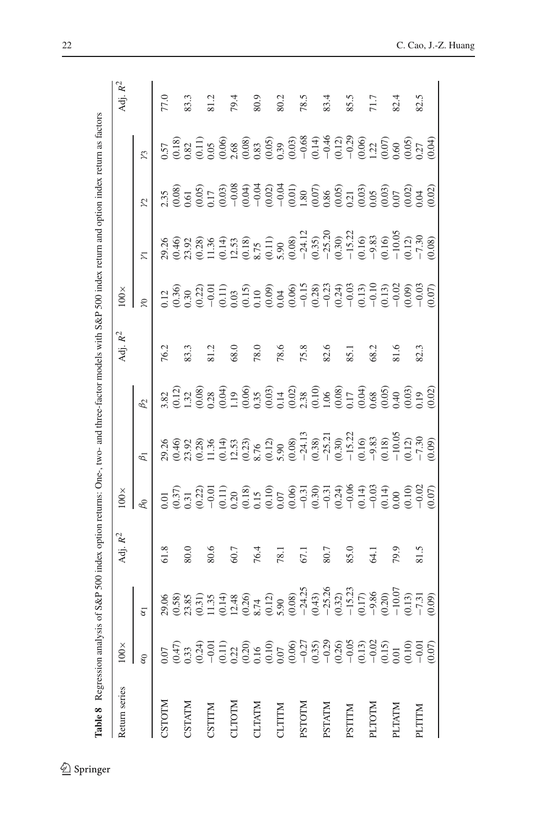<span id="page-21-0"></span>

| י                                                                                     |
|---------------------------------------------------------------------------------------|
| ì                                                                                     |
|                                                                                       |
|                                                                                       |
|                                                                                       |
|                                                                                       |
|                                                                                       |
|                                                                                       |
|                                                                                       |
| j                                                                                     |
|                                                                                       |
|                                                                                       |
|                                                                                       |
|                                                                                       |
| í                                                                                     |
|                                                                                       |
|                                                                                       |
|                                                                                       |
|                                                                                       |
|                                                                                       |
| l                                                                                     |
|                                                                                       |
| i                                                                                     |
|                                                                                       |
|                                                                                       |
| ¢                                                                                     |
|                                                                                       |
|                                                                                       |
|                                                                                       |
| l                                                                                     |
| $\frac{1}{2}$                                                                         |
|                                                                                       |
|                                                                                       |
|                                                                                       |
| l                                                                                     |
| ł<br>Ĕ<br>Ì                                                                           |
|                                                                                       |
|                                                                                       |
| ֖֖֖֖֖֧ׅׅ֖֖֧֪֪ׅ֖֧֪֧֪֧֪ׅ֪֧֪֧֪֪֪֪֪֪֪֪֪֪֪֧֚֚֚֚֚֚֚֚֚֚֚֚֚֚֚֚֚֚֚֚֚֚֚֚֚֚֚֚֡֝֝֝֓֞֝֬֝֬֝֬֓֞֬֝֬֝֬ |
|                                                                                       |
|                                                                                       |
|                                                                                       |
|                                                                                       |
|                                                                                       |
|                                                                                       |
|                                                                                       |
|                                                                                       |
|                                                                                       |
|                                                                                       |
|                                                                                       |
|                                                                                       |
|                                                                                       |
|                                                                                       |
|                                                                                       |
|                                                                                       |
|                                                                                       |
|                                                                                       |
|                                                                                       |
| ׇ֖֖֖֖֚֚֚֚֚֚֚֚֬֕                                                                       |
|                                                                                       |
|                                                                                       |
|                                                                                       |
|                                                                                       |
|                                                                                       |
| ć                                                                                     |
|                                                                                       |
|                                                                                       |
| į                                                                                     |
|                                                                                       |
|                                                                                       |
|                                                                                       |
|                                                                                       |
|                                                                                       |
| l                                                                                     |
|                                                                                       |
|                                                                                       |
|                                                                                       |
|                                                                                       |
| í                                                                                     |
| $\vdots$                                                                              |
|                                                                                       |
| ١                                                                                     |
| ļ                                                                                     |
| ۰                                                                                     |
| Š                                                                                     |

| Return series | $100\times$                                                                                                                                                                                                                                                                                                                                                                            |                                                                                                                                                                                                                                | Adj. $R^2$        | $100\times$ |                                                                                                                                                                                                                                                                                                                                                                                                                                                                                     |           | Adj. R <sup>2</sup> | $100\times$    |                                                                                                                                                                                                                                                                                                                                                  |                       |         | Adj. R <sup>2</sup> |
|---------------|----------------------------------------------------------------------------------------------------------------------------------------------------------------------------------------------------------------------------------------------------------------------------------------------------------------------------------------------------------------------------------------|--------------------------------------------------------------------------------------------------------------------------------------------------------------------------------------------------------------------------------|-------------------|-------------|-------------------------------------------------------------------------------------------------------------------------------------------------------------------------------------------------------------------------------------------------------------------------------------------------------------------------------------------------------------------------------------------------------------------------------------------------------------------------------------|-----------|---------------------|----------------|--------------------------------------------------------------------------------------------------------------------------------------------------------------------------------------------------------------------------------------------------------------------------------------------------------------------------------------------------|-----------------------|---------|---------------------|
|               | $\alpha$ <sub>0</sub>                                                                                                                                                                                                                                                                                                                                                                  | $\alpha$ <sup>1</sup>                                                                                                                                                                                                          |                   | $\beta_0$   | $\beta_1$                                                                                                                                                                                                                                                                                                                                                                                                                                                                           | $\beta_2$ |                     | $\mathfrak{S}$ | $\overline{\Sigma}$                                                                                                                                                                                                                                                                                                                              | $\tilde{\mathcal{L}}$ | $\zeta$ |                     |
| NIIOLS        | 0.07                                                                                                                                                                                                                                                                                                                                                                                   |                                                                                                                                                                                                                                | 61.8              |             | $\begin{array}{l} \mathcal{A} \oplus \mathcal{A} \oplus \mathcal{A} \oplus \mathcal{A} \oplus \mathcal{A} \oplus \mathcal{A} \oplus \mathcal{A} \oplus \mathcal{A} \oplus \mathcal{A} \oplus \mathcal{A} \oplus \mathcal{A} \oplus \mathcal{A} \oplus \mathcal{A} \oplus \mathcal{A} \oplus \mathcal{A} \oplus \mathcal{A} \oplus \mathcal{A} \oplus \mathcal{A} \oplus \mathcal{A} \oplus \mathcal{A} \oplus \mathcal{A} \oplus \mathcal{A} \oplus \mathcal{A} \oplus \mathcal{A}$ |           | 76.2                |                |                                                                                                                                                                                                                                                                                                                                                  |                       |         |                     |
|               |                                                                                                                                                                                                                                                                                                                                                                                        |                                                                                                                                                                                                                                |                   |             |                                                                                                                                                                                                                                                                                                                                                                                                                                                                                     |           |                     |                |                                                                                                                                                                                                                                                                                                                                                  |                       |         |                     |
| CSTATM        | $\begin{array}{l} \mathfrak{t}_{3,3} \\[-0.2cm] \mathfrak{t}_{3,4} \\[-0.2cm] \mathfrak{t}_{3,5} \\[-0.2cm] \mathfrak{t}_{3,6} \\[-0.2cm] \mathfrak{t}_{3,6} \\[-0.2cm] \mathfrak{t}_{3,6} \\[-0.2cm] \mathfrak{t}_{3,6} \\[-0.2cm] \mathfrak{t}_{3,6} \\[-0.2cm] \mathfrak{t}_{3,6} \\[-0.2cm] \mathfrak{t}_{3,6} \\[-0.2cm] \mathfrak{t}_{3,6} \\[-0.2cm] \mathfrak{t}_{3,6} \\[-0.$ | $(8, 8, 8, 1)$ $(8, 8, 1)$ $(8, 1)$ $(8, 1)$ $(8, 1)$ $(8, 1)$ $(8, 1)$ $(8, 1)$ $(8, 1)$ $(8, 1)$ $(8, 1)$ $(8, 1)$ $(8, 1)$ $(8, 1)$ $(8, 1)$ $(8, 1)$ $(8, 1)$ $(8, 1)$ $(8, 1)$ $(8, 1)$ $(8, 1)$ $(8, 1)$ $(8, 1)$ $(8, $ | 80.0              |             |                                                                                                                                                                                                                                                                                                                                                                                                                                                                                     |           | 83.3                |                | $\begin{array}{l} 8.96 \hskip -0.6cm + 8.92 \hskip -0.6cm + 8.92 \hskip -0.6cm + 8.92 \hskip -0.6cm + 8.92 \hskip -0.6cm + 8.92 \hskip -0.6cm + 8.92 \hskip -0.6cm + 8.92 \hskip -0.6cm + 8.92 \hskip -0.6cm + 8.92 \hskip -0.6cm + 8.92 \hskip -0.6cm + 8.92 \hskip -0.6cm + 8.92 \hskip -0.6cm + 8.92 \hskip -0.6cm + 8.92 \hskip -0.6cm + 8.$ |                       |         | 83.3                |
|               |                                                                                                                                                                                                                                                                                                                                                                                        |                                                                                                                                                                                                                                |                   |             |                                                                                                                                                                                                                                                                                                                                                                                                                                                                                     |           |                     |                |                                                                                                                                                                                                                                                                                                                                                  |                       |         |                     |
| CSTITM        |                                                                                                                                                                                                                                                                                                                                                                                        |                                                                                                                                                                                                                                |                   |             |                                                                                                                                                                                                                                                                                                                                                                                                                                                                                     |           |                     |                |                                                                                                                                                                                                                                                                                                                                                  |                       |         |                     |
|               |                                                                                                                                                                                                                                                                                                                                                                                        |                                                                                                                                                                                                                                |                   |             |                                                                                                                                                                                                                                                                                                                                                                                                                                                                                     |           |                     |                |                                                                                                                                                                                                                                                                                                                                                  |                       |         |                     |
| <b>CLTOTM</b> |                                                                                                                                                                                                                                                                                                                                                                                        |                                                                                                                                                                                                                                | 60.7              |             |                                                                                                                                                                                                                                                                                                                                                                                                                                                                                     |           | 68.0                |                |                                                                                                                                                                                                                                                                                                                                                  |                       |         | 79.4                |
|               |                                                                                                                                                                                                                                                                                                                                                                                        |                                                                                                                                                                                                                                |                   |             |                                                                                                                                                                                                                                                                                                                                                                                                                                                                                     |           |                     |                |                                                                                                                                                                                                                                                                                                                                                  |                       |         |                     |
| <b>CLTATM</b> |                                                                                                                                                                                                                                                                                                                                                                                        |                                                                                                                                                                                                                                | 76.4              |             |                                                                                                                                                                                                                                                                                                                                                                                                                                                                                     |           | 78.C                |                |                                                                                                                                                                                                                                                                                                                                                  |                       |         |                     |
|               |                                                                                                                                                                                                                                                                                                                                                                                        |                                                                                                                                                                                                                                |                   |             |                                                                                                                                                                                                                                                                                                                                                                                                                                                                                     |           |                     |                |                                                                                                                                                                                                                                                                                                                                                  |                       |         |                     |
| <b>CLTTTM</b> |                                                                                                                                                                                                                                                                                                                                                                                        |                                                                                                                                                                                                                                | 78.1              |             |                                                                                                                                                                                                                                                                                                                                                                                                                                                                                     |           |                     |                |                                                                                                                                                                                                                                                                                                                                                  |                       |         | 80.2                |
|               |                                                                                                                                                                                                                                                                                                                                                                                        |                                                                                                                                                                                                                                |                   |             |                                                                                                                                                                                                                                                                                                                                                                                                                                                                                     |           | 78.6<br>75.8        |                |                                                                                                                                                                                                                                                                                                                                                  |                       |         |                     |
| <b>PSTOTM</b> |                                                                                                                                                                                                                                                                                                                                                                                        |                                                                                                                                                                                                                                | 67.1              |             |                                                                                                                                                                                                                                                                                                                                                                                                                                                                                     |           |                     |                |                                                                                                                                                                                                                                                                                                                                                  |                       |         | 78.5                |
|               |                                                                                                                                                                                                                                                                                                                                                                                        |                                                                                                                                                                                                                                |                   |             |                                                                                                                                                                                                                                                                                                                                                                                                                                                                                     |           |                     |                |                                                                                                                                                                                                                                                                                                                                                  |                       |         |                     |
| PSTATM        |                                                                                                                                                                                                                                                                                                                                                                                        |                                                                                                                                                                                                                                | 80.7              |             |                                                                                                                                                                                                                                                                                                                                                                                                                                                                                     |           | 82.6                |                |                                                                                                                                                                                                                                                                                                                                                  |                       |         | 83.4                |
|               |                                                                                                                                                                                                                                                                                                                                                                                        |                                                                                                                                                                                                                                |                   |             |                                                                                                                                                                                                                                                                                                                                                                                                                                                                                     |           |                     |                |                                                                                                                                                                                                                                                                                                                                                  |                       |         |                     |
| PSTITM        |                                                                                                                                                                                                                                                                                                                                                                                        |                                                                                                                                                                                                                                | 85.0              |             |                                                                                                                                                                                                                                                                                                                                                                                                                                                                                     |           | 85.1                |                |                                                                                                                                                                                                                                                                                                                                                  |                       |         | 85.5                |
|               |                                                                                                                                                                                                                                                                                                                                                                                        |                                                                                                                                                                                                                                |                   |             |                                                                                                                                                                                                                                                                                                                                                                                                                                                                                     |           |                     |                |                                                                                                                                                                                                                                                                                                                                                  |                       |         |                     |
| PLTOTIN       |                                                                                                                                                                                                                                                                                                                                                                                        |                                                                                                                                                                                                                                | $\overline{54.1}$ |             |                                                                                                                                                                                                                                                                                                                                                                                                                                                                                     |           | 68.2                |                |                                                                                                                                                                                                                                                                                                                                                  |                       |         |                     |
|               |                                                                                                                                                                                                                                                                                                                                                                                        |                                                                                                                                                                                                                                |                   |             |                                                                                                                                                                                                                                                                                                                                                                                                                                                                                     |           |                     |                |                                                                                                                                                                                                                                                                                                                                                  |                       |         |                     |
| PLTATM        |                                                                                                                                                                                                                                                                                                                                                                                        |                                                                                                                                                                                                                                | 79.9              |             |                                                                                                                                                                                                                                                                                                                                                                                                                                                                                     |           | 81.6                |                |                                                                                                                                                                                                                                                                                                                                                  |                       |         | 82.4                |
|               |                                                                                                                                                                                                                                                                                                                                                                                        |                                                                                                                                                                                                                                |                   |             |                                                                                                                                                                                                                                                                                                                                                                                                                                                                                     |           |                     |                |                                                                                                                                                                                                                                                                                                                                                  |                       |         |                     |
| PLITIN        |                                                                                                                                                                                                                                                                                                                                                                                        |                                                                                                                                                                                                                                |                   |             |                                                                                                                                                                                                                                                                                                                                                                                                                                                                                     |           | 82.3                |                |                                                                                                                                                                                                                                                                                                                                                  |                       |         | 82.5                |
|               | (0.07)                                                                                                                                                                                                                                                                                                                                                                                 |                                                                                                                                                                                                                                |                   |             |                                                                                                                                                                                                                                                                                                                                                                                                                                                                                     |           |                     |                |                                                                                                                                                                                                                                                                                                                                                  |                       |         |                     |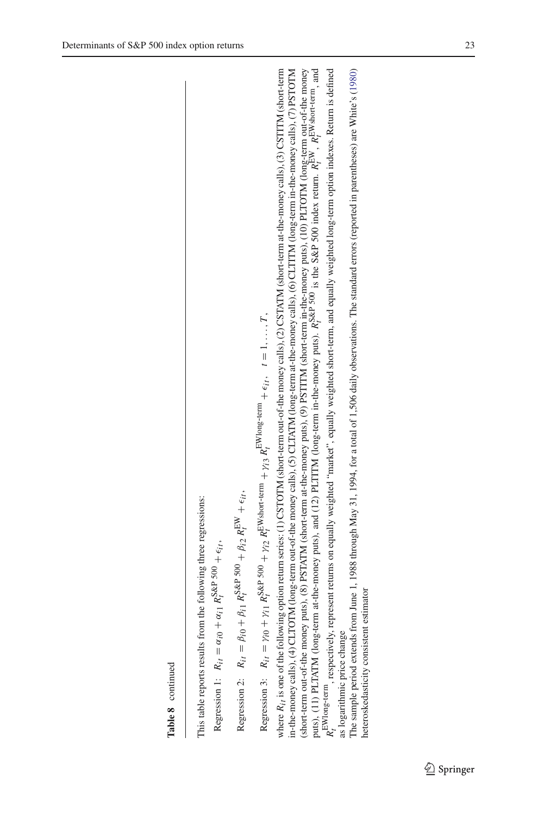**Table 8** continued<br>This table reports results from the following three regressions:<br>Regression 1:  $R_{i,t} = \alpha_{i0} + \alpha_{i1} R_s^s$ &P 500 +  $\epsilon_{i,t}$ ,

 $R_{ii} = \alpha_{i0} + \alpha_{i1} R_t^{S\&P}$  500 *t* $\frac{1}{i}$  and  $\frac{1}{i}$  +  $\epsilon_{ii}$ 

 $\frac{1}{t}$  +  $\epsilon_{it}$  $s_{\alpha}$ e 500 +  $\beta_{i2}$   $R_{I}^{\text{EW}}$  $R_{it} = \beta_{i0} + \beta_{i1} R_t^{S\&P}$  500 *t*Regression 2: Regression 2:

Regression 3:  $R_{it} = \gamma_{i0} + \gamma_{i1} R_{t}^{\text{S\&P}}$  500  $\frac{1}{2}$  *R*EWshort-term  $+\gamma_{i3}$  *R*<sub>E</sub>Wlong-term  $+ \epsilon_{i}t$ ,  $t = 1, ...$ *T* ,

where  $R_t$ , is one of the following option return series; (1) CSTOTM (short-term out-of-the money calls), (2) CSTATM (short-term at-the-money calls), (3) CSTITM (short-term in-the-money calls), (4) CLTOTM (long-term out-of-the money calls), (5) CLTATM (long-term at-the-money calls), (6) CLTITM (long-term in-the-money calls), (7) PSTOTM *Rit* is one of the following option return series: (1) CSTOTM (short-term out-of-the money calls), (2) CSTATM (short-term at-the-money calls), (3) CSTITM (short-term in-the-money calls), (4) CLTOTM (long-term out-of-the money calls), (5) CLTATM (long-term at-the-money calls), (6) CLTITM (long-term in-the-money calls), (7) PSTOTM (short-term out-of-the money puts), (8) PSTATM (short-term at-the-money puts), (9) PSTITM (short-term in-the-money puts), (10) PLTOTM (long-term out-of-the money EW, REWshort-term, and  $R_f^{\rm EWlong-term}$  , respectively, represent returns on equally weighted "market", equally weighted short-term, and equally weighted long-term option indexes. Return is defined  $R_f^{\rm EW}$  $R_i^{\text{EW}}$  $\sum_{i=1}^{3}$   $\alpha$  P  $\leq$  300 index return. *R*S&P 500 *t*puts), (11) PLTATM (long-term at-the-money puts), and (12) PLTITM (long-term in-the-money puts). as logarithmic price change as logarithmic price change

The sample period extends from June 1, 1988 through May 31, 1994, for a total of 1,506 daily observations. The standard errors (reported in parentheses) are White's (1980) The sample period extends from June 1, 1988 through May 31, 1994, for a total of 1,506 daily observations. The standard errors (reported in parentheses) are White's [\(1980](#page-37-10)) heteroskedasticity consistent estimator heteroskedasticity consistent estimator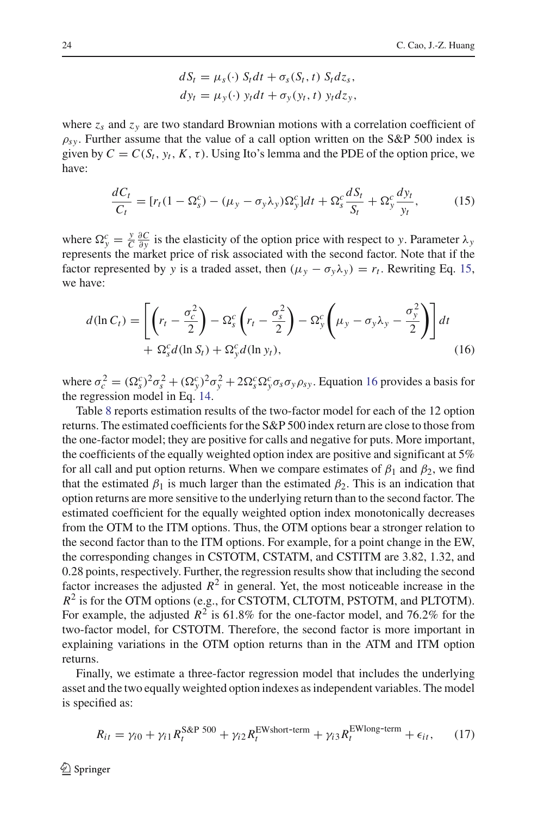$$
dS_t = \mu_s(\cdot) S_t dt + \sigma_s(S_t, t) S_t dz_s,
$$
  
\n
$$
dy_t = \mu_y(\cdot) y_t dt + \sigma_y(y_t, t) y_t dz_y,
$$

where  $z_s$  and  $z_v$  are two standard Brownian motions with a correlation coefficient of  $\rho_{s\nu}$ . Further assume that the value of a call option written on the S&P 500 index is given by  $C = C(S_t, y_t, K, \tau)$ . Using Ito's lemma and the PDE of the option price, we have:

$$
\frac{dC_t}{C_t} = [r_t(1 - \Omega_s^c) - (\mu_y - \sigma_y \lambda_y) \Omega_y^c] dt + \Omega_s^c \frac{dS_t}{S_t} + \Omega_y^c \frac{dy_t}{y_t},\tag{15}
$$

<span id="page-23-0"></span>where  $\Omega_y^c = \frac{y}{C} \frac{\partial C}{\partial y}$  is the elasticity of the option price with respect to *y*. Parameter  $\lambda_y$ represents the market price of risk associated with the second factor. Note that if the factor represented by *y* is a traded asset, then  $(\mu_v - \sigma_v \lambda_v) = r_t$ . Rewriting Eq. [15,](#page-23-0) we have:

$$
d(\ln C_t) = \left[ \left( r_t - \frac{\sigma_c^2}{2} \right) - \Omega_s^c \left( r_t - \frac{\sigma_s^2}{2} \right) - \Omega_y^c \left( \mu_y - \sigma_y \lambda_y - \frac{\sigma_y^2}{2} \right) \right] dt
$$
  
+  $\Omega_s^c d(\ln S_t) + \Omega_y^c d(\ln y_t),$  (16)

<span id="page-23-1"></span>where  $\sigma_c^2 = (\Omega_s^c)^2 \sigma_s^2 + (\Omega_y^c)^2 \sigma_y^2 + 2\Omega_s^c \Omega_y^c \sigma_s \sigma_y \rho_{sy}$ . Equation [16](#page-23-1) provides a basis for the regression model in Eq. [14.](#page-20-1)

Table [8](#page-21-0) reports estimation results of the two-factor model for each of the 12 option returns. The estimated coefficients for the S&P 500 index return are close to those from the one-factor model; they are positive for calls and negative for puts. More important, the coefficients of the equally weighted option index are positive and significant at 5% for all call and put option returns. When we compare estimates of  $\beta_1$  and  $\beta_2$ , we find that the estimated  $\beta_1$  is much larger than the estimated  $\beta_2$ . This is an indication that option returns are more sensitive to the underlying return than to the second factor. The estimated coefficient for the equally weighted option index monotonically decreases from the OTM to the ITM options. Thus, the OTM options bear a stronger relation to the second factor than to the ITM options. For example, for a point change in the EW, the corresponding changes in CSTOTM, CSTATM, and CSTITM are 3.82, 1.32, and 0.28 points, respectively. Further, the regression results show that including the second factor increases the adjusted  $R^2$  in general. Yet, the most noticeable increase in the  $R^2$  is for the OTM options (e.g., for CSTOTM, CLTOTM, PSTOTM, and PLTOTM). For example, the adjusted  $R^2$  is 61.8% for the one-factor model, and 76.2% for the two-factor model, for CSTOTM. Therefore, the second factor is more important in explaining variations in the OTM option returns than in the ATM and ITM option returns.

<span id="page-23-2"></span>Finally, we estimate a three-factor regression model that includes the underlying asset and the two equally weighted option indexes as independent variables. The model is specified as:

$$
R_{it} = \gamma_{i0} + \gamma_{i1} R_t^{\text{S\&P 500}} + \gamma_{i2} R_t^{\text{EWshort-term}} + \gamma_{i3} R_t^{\text{EWlong-term}} + \epsilon_{it}, \qquad (17)
$$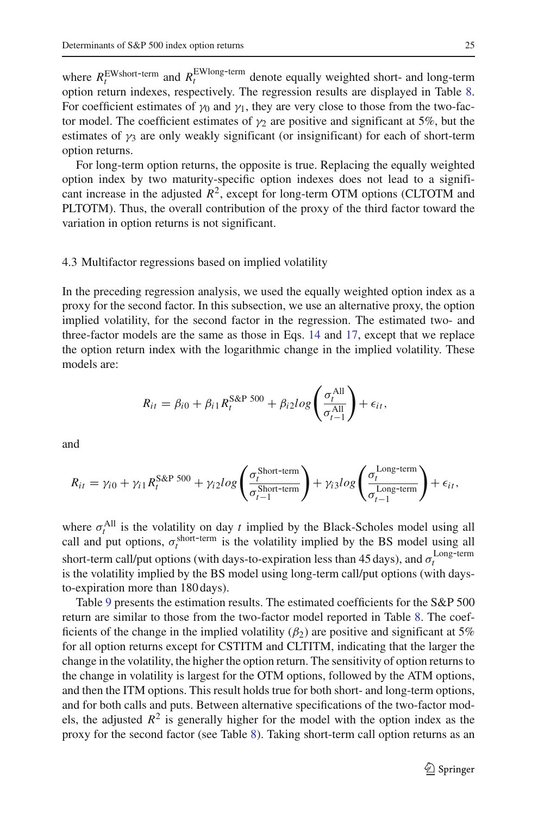where  $R_t^{\text{EWshort-term}}$  and  $R_t^{\text{EWlong-term}}$  denote equally weighted short- and long-term option return indexes, respectively. The regression results are displayed in Table [8.](#page-21-0) For coefficient estimates of  $\gamma_0$  and  $\gamma_1$ , they are very close to those from the two-factor model. The coefficient estimates of  $\gamma_2$  are positive and significant at 5%, but the estimates of  $\gamma_3$  are only weakly significant (or insignificant) for each of short-term option returns.

For long-term option returns, the opposite is true. Replacing the equally weighted option index by two maturity-specific option indexes does not lead to a significant increase in the adjusted  $R^2$ , except for long-term OTM options (CLTOTM and PLTOTM). Thus, the overall contribution of the proxy of the third factor toward the variation in option returns is not significant.

#### 4.3 Multifactor regressions based on implied volatility

In the preceding regression analysis, we used the equally weighted option index as a proxy for the second factor. In this subsection, we use an alternative proxy, the option implied volatility, for the second factor in the regression. The estimated two- and three-factor models are the same as those in Eqs. [14](#page-20-1) and [17,](#page-23-2) except that we replace the option return index with the logarithmic change in the implied volatility. These models are:

$$
R_{it} = \beta_{i0} + \beta_{i1} R_t^{\text{S\&P 500}} + \beta_{i2} log\left(\frac{\sigma_t^{\text{All}}}{\sigma_{t-1}^{\text{All}}}\right) + \epsilon_{it},
$$

and

$$
R_{it} = \gamma_{i0} + \gamma_{i1} R_t^{\text{S\&P 500}} + \gamma_{i2} log\left(\frac{\sigma_t^{\text{Short-term}}}{\sigma_{t-1}^{\text{Short-term}}}\right) + \gamma_{i3} log\left(\frac{\sigma_t^{\text{Long-term}}}{\sigma_{t-1}^{\text{Long-term}}}\right) + \epsilon_{it},
$$

where  $\sigma_t^{\text{All}}$  is the volatility on day *t* implied by the Black-Scholes model using all call and put options,  $\sigma_t^{\text{short-term}}$  is the volatility implied by the BS model using all short-term call/put options (with days-to-expiration less than 45 days), and  $\sigma_t^{\text{Long-term}}$ is the volatility implied by the BS model using long-term call/put options (with daysto-expiration more than 180 days).

Table [9](#page-25-0) presents the estimation results. The estimated coefficients for the S&P 500 return are similar to those from the two-factor model reported in Table [8.](#page-21-0) The coefficients of the change in the implied volatility  $(\beta_2)$  are positive and significant at 5% for all option returns except for CSTITM and CLTITM, indicating that the larger the change in the volatility, the higher the option return. The sensitivity of option returns to the change in volatility is largest for the OTM options, followed by the ATM options, and then the ITM options. This result holds true for both short- and long-term options, and for both calls and puts. Between alternative specifications of the two-factor models, the adjusted  $R^2$  is generally higher for the model with the option index as the proxy for the second factor (see Table [8\)](#page-21-0). Taking short-term call option returns as an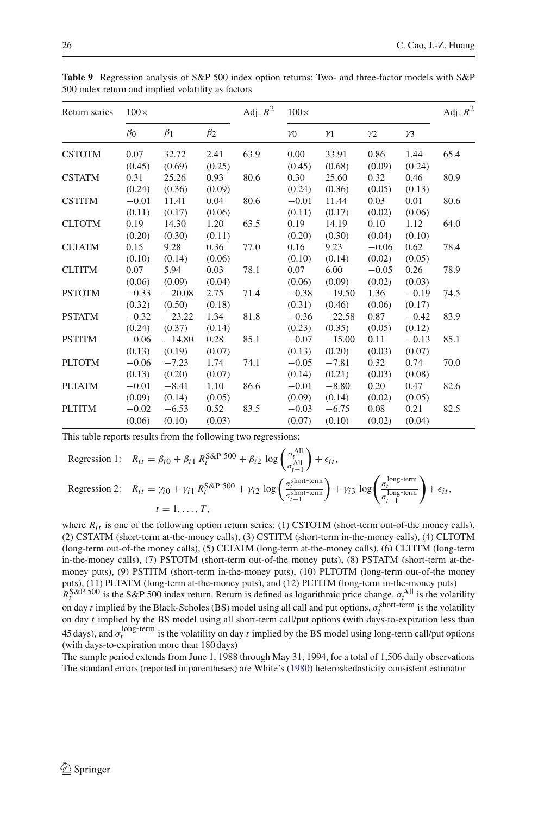| <b>ROLLY Respectively analysis of State 200 mack option returns.</b> The and three nector models with State<br>500 index return and implied volatility as factors |                   |                 |                |            |                   |                 |                |                |            |
|-------------------------------------------------------------------------------------------------------------------------------------------------------------------|-------------------|-----------------|----------------|------------|-------------------|-----------------|----------------|----------------|------------|
| Return series                                                                                                                                                     | $100\times$       |                 |                | Adj. $R^2$ | $100\times$       |                 |                |                | Adj. $R^2$ |
|                                                                                                                                                                   | $\beta_0$         | $\beta_1$       | $\beta_2$      |            | $\gamma_0$        | $\gamma_1$      | $\gamma_2$     | $\nu_3$        |            |
| CSTOTM                                                                                                                                                            | 0.07<br>(0.45)    | 32.72<br>(0.69) | 2.41<br>(0.25) | 63.9       | 0.00<br>(0.45)    | 33.91<br>(0.68) | 0.86<br>(0.09) | 1.44<br>(0.24) | 65.4       |
| CSTATM                                                                                                                                                            | 0.31<br>(0.24)    | 25.26<br>(0.36) | 0.93<br>(0.09) | 80.6       | 0.30<br>(0.24)    | 25.60<br>(0.36) | 0.32<br>(0.05) | 0.46<br>(0.13) | 80.9       |
| <b>CSTITM</b>                                                                                                                                                     | $-0.01$<br>(0.11) | 11.41<br>(0.17) | 0.04<br>(0.06) | 80.6       | $-0.01$<br>(0.11) | 11.44<br>(0.17) | 0.03<br>(0.02) | 0.01<br>(0.06) | 80.6       |

CLTOTM 0.19 14.30 1.20 63.5 0.19 14.19 0.10 1.12 64.0  $(0.20)$   $(0.30)$   $(0.11)$   $(0.20)$   $(0.30)$   $(0.04)$   $(0.10)$ CLTATM 0.15 9.28 0.36 77.0 0.16 9.23 −0.06 0.62 78.4  $(0.10)$   $(0.14)$   $(0.06)$   $(0.10)$   $(0.14)$   $(0.02)$   $(0.05)$ CLTITM 0.07 5.94 0.03 78.1 0.07 6.00 −0.05 0.26 78.9  $(0.06)$   $(0.09)$   $(0.04)$   $(0.06)$   $(0.09)$   $(0.02)$   $(0.03)$ PSTOTM −0.33 −20.08 2.75 71.4 −0.38 −19.50 1.36 −0.19 74.5  $(0.32)$   $(0.50)$   $(0.18)$   $(0.31)$   $(0.46)$   $(0.06)$   $(0.17)$ PSTATM −0.32 −23.22 1.34 81.8 −0.36 −22.58 0.87 −0.42 83.9  $(0.24)$   $(0.37)$   $(0.14)$   $(0.23)$   $(0.35)$   $(0.05)$   $(0.12)$ PSTITM −0.06 −14.80 0.28 85.1 −0.07 −15.00 0.11 −0.13 85.1  $(0.13)$   $(0.19)$   $(0.07)$   $(0.13)$   $(0.20)$   $(0.03)$   $(0.07)$ PLTOTM −0.06 −7.23 1.74 74.1 −0.05 −7.81 0.32 0.74 70.0  $(0.13)$   $(0.20)$   $(0.07)$   $(0.14)$   $(0.21)$   $(0.03)$   $(0.08)$ PLTATM −0.01 −8.41 1.10 86.6 −0.01 −8.80 0.20 0.47 82.6  $(0.09)$   $(0.14)$   $(0.05)$   $(0.09)$   $(0.14)$   $(0.02)$   $(0.05)$ PLTITM −0.02 −6.53 0.52 83.5 −0.03 −6.75 0.08 0.21 82.5  $(0.06)$   $(0.10)$   $(0.03)$   $(0.07)$   $(0.10)$   $(0.02)$   $(0.04)$ 

<span id="page-25-0"></span>Table 9 Regression analysis of S&P 500 index option returns: Two- and three-factor models with S&P 500 index return and implied volatility as factors

This table reports results from the following two regressions:

Regression 1: 
$$
R_{it} = \beta_{i0} + \beta_{i1} R_t^{S\&P 500} + \beta_{i2} \log \left( \frac{\sigma_t^{All}}{\sigma_{t-1}^{All}} \right) + \epsilon_{it},
$$
  
\nRegression 2:  $R_{it} = \gamma_{i0} + \gamma_{i1} R_t^{S\&P 500} + \gamma_{i2} \log \left( \frac{\sigma_t^{short-term}}{\sigma_{t-1}^{short-term}} \right) + \gamma_{i3} \log \left( \frac{\sigma_t^{long-term}}{\sigma_{t-1}^{long-term}} \right) + \epsilon_{it},$   
\n $t = 1, ..., T,$ 

where  $R_{it}$  is one of the following option return series: (1) CSTOTM (short-term out-of-the money calls), (2) CSTATM (short-term at-the-money calls), (3) CSTITM (short-term in-the-money calls), (4) CLTOTM (long-term out-of-the money calls), (5) CLTATM (long-term at-the-money calls), (6) CLTITM (long-term in-the-money calls), (7) PSTOTM (short-term out-of-the money puts), (8) PSTATM (short-term at-themoney puts), (9) PSTITM (short-term in-the-money puts), (10) PLTOTM (long-term out-of-the money puts), (11) PLTATM (long-term at-the-money puts), and (12) PLTITM (long-term in-the-money puts)  $R_t^{\text{S&P 500}}$  is the S&P 500 index return. Return is defined as logarithmic price change.  $\sigma_t^{\text{All}}$  is the volatility on day *t* implied by the Black-Scholes (BS) model using all call and put options,  $\sigma_t^{\text{short-term}}$  is the volatility on day *t* implied by the BS model using all short-term call/put options (with days-to-expiration less than 45 days), and  $\sigma_t^{\text{long-term}}$  is the volatility on day *t* implied by the BS model using long-term call/put options (with days-to-expiration more than 180 days)

The sample period extends from June 1, 1988 through May 31, 1994, for a total of 1,506 daily observations The standard errors (reported in parentheses) are White's [\(1980](#page-37-10)) heteroskedasticity consistent estimator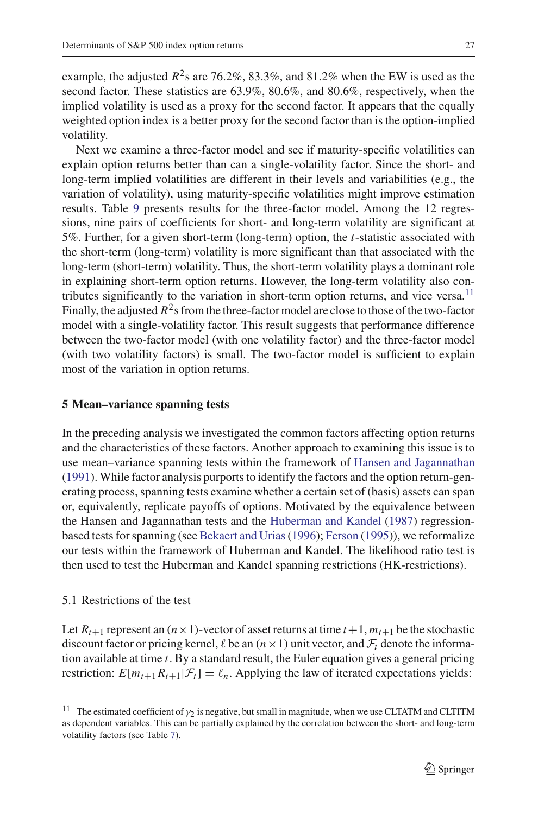example, the adjusted  $R^2$ s are 76.2%, 83.3%, and 81.2% when the EW is used as the second factor. These statistics are 63.9%, 80.6%, and 80.6%, respectively, when the implied volatility is used as a proxy for the second factor. It appears that the equally weighted option index is a better proxy for the second factor than is the option-implied volatility.

Next we examine a three-factor model and see if maturity-specific volatilities can explain option returns better than can a single-volatility factor. Since the short- and long-term implied volatilities are different in their levels and variabilities (e.g., the variation of volatility), using maturity-specific volatilities might improve estimation results. Table [9](#page-25-0) presents results for the three-factor model. Among the 12 regressions, nine pairs of coefficients for short- and long-term volatility are significant at 5%. Further, for a given short-term (long-term) option, the *t*-statistic associated with the short-term (long-term) volatility is more significant than that associated with the long-term (short-term) volatility. Thus, the short-term volatility plays a dominant role in explaining short-term option returns. However, the long-term volatility also con-tributes significantly to the variation in short-term option returns, and vice versa.<sup>[11](#page-26-1)</sup> Finally, the adjusted  $R^2$ s from the three-factor model are close to those of the two-factor model with a single-volatility factor. This result suggests that performance difference between the two-factor model (with one volatility factor) and the three-factor model (with two volatility factors) is small. The two-factor model is sufficient to explain most of the variation in option returns.

### <span id="page-26-0"></span>**5 Mean–variance spanning tests**

In the preceding analysis we investigated the common factors affecting option returns and the characteristics of these factors. Another approach to examining this issue is to use mean–variance spanning tests within the framework of [Hansen and Jagannathan](#page-36-12) [\(1991\)](#page-36-12). While factor analysis purports to identify the factors and the option return-generating process, spanning tests examine whether a certain set of (basis) assets can span or, equivalently, replicate payoffs of options. Motivated by the equivalence between the Hansen and Jagannathan tests and the [Huberman and Kandel](#page-36-13) [\(1987\)](#page-36-13) regressionbased tests for spanning (see [Bekaert and Urias\(1996](#page-36-24)); [Ferson](#page-36-25) [\(1995](#page-36-25))), we reformalize our tests within the framework of Huberman and Kandel. The likelihood ratio test is then used to test the Huberman and Kandel spanning restrictions (HK-restrictions).

# 5.1 Restrictions of the test

Let  $R_{t+1}$  represent an  $(n \times 1)$ -vector of asset returns at time  $t+1$ ,  $m_{t+1}$  be the stochastic discount factor or pricing kernel,  $\ell$  be an  $(n \times 1)$  unit vector, and  $\mathcal{F}_t$  denote the information available at time *t*. By a standard result, the Euler equation gives a general pricing restriction:  $E[m_{t+1}R_{t+1}|\mathcal{F}_t] = \ell_n$ . Applying the law of iterated expectations yields:

<span id="page-26-1"></span><sup>&</sup>lt;sup>11</sup> The estimated coefficient of  $\gamma_2$  is negative, but small in magnitude, when we use CLTATM and CLTITM as dependent variables. This can be partially explained by the correlation between the short- and long-term volatility factors (see Table [7\)](#page-18-1).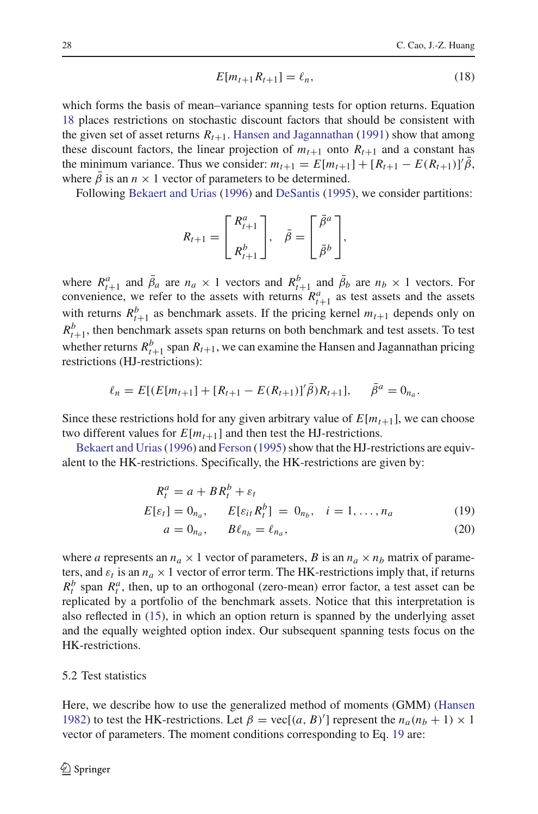$$
E[m_{t+1}R_{t+1}] = \ell_n, \tag{18}
$$

<span id="page-27-0"></span>which forms the basis of mean–variance spanning tests for option returns. Equation [18](#page-27-0) places restrictions on stochastic discount factors that should be consistent with the given set of asset returns  $R_{t+1}$ . [Hansen and Jagannathan](#page-36-12) [\(1991\)](#page-36-12) show that among these discount factors, the linear projection of  $m_{t+1}$  onto  $R_{t+1}$  and a constant has the minimum variance. Thus we consider:  $m_{t+1} = E[m_{t+1}] + [R_{t+1} - E(R_{t+1})]' \bar{\beta}$ , where  $\beta$  is an  $n \times 1$  vector of parameters to be determined.

Following [Bekaert and Urias](#page-36-24) [\(1996\)](#page-36-24) and [DeSantis](#page-36-26) [\(1995](#page-36-26)), we consider partitions:

$$
R_{t+1} = \begin{bmatrix} R_{t+1}^a \\ R_{t+1}^b \end{bmatrix}, \quad \bar{\beta} = \begin{bmatrix} \bar{\beta}^a \\ \bar{\beta}^b \end{bmatrix},
$$

where  $R_{t+1}^a$  and  $\bar{\beta}_a$  are  $n_a \times 1$  vectors and  $R_{t+1}^b$  and  $\bar{\beta}_b$  are  $n_b \times 1$  vectors. For convenience, we refer to the assets with returns  $R_{t+1}^a$  as test assets and the assets with returns  $R_{t+1}^b$  as benchmark assets. If the pricing kernel  $m_{t+1}$  depends only on  $R_{t+1}^b$ , then benchmark assets span returns on both benchmark and test assets. To test whether returns  $R_{t+1}^b$  span  $R_{t+1}$ , we can examine the Hansen and Jagannathan pricing restrictions (HJ-restrictions):

$$
\ell_n = E[(E[m_{t+1}] + [R_{t+1} - E(R_{t+1})]' \bar{\beta})R_{t+1}], \quad \bar{\beta}^a = 0_{n_a}.
$$

Since these restrictions hold for any given arbitrary value of  $E[m_{t+1}]$ , we can choose two different values for  $E[m_{t+1}]$  and then test the HJ-restrictions.

<span id="page-27-1"></span>Bekaert and Urias (1996) and [Ferson](#page-36-25) [\(1995\)](#page-36-25) show that the HJ-restrictions are equivalent to the HK-restrictions. Specifically, the HK-restrictions are given by:

$$
R_t^a = a + BR_t^b + \varepsilon_t
$$
  
\n
$$
E[\varepsilon_t] = 0_{n_a}, \qquad E[\varepsilon_{it} R_t^b] = 0_{n_b}, \quad i = 1, \dots, n_a
$$
\n(19)

$$
a = 0 \qquad R\ell = \ell \tag{20}
$$

$$
a = 0_{n_a}, \qquad B\ell_{n_b} = \ell_{n_a}, \tag{20}
$$

where *a* represents an  $n_a \times 1$  vector of parameters, *B* is an  $n_a \times n_b$  matrix of parameters, and  $\varepsilon_t$  is an  $n_a \times 1$  vector of error term. The HK-restrictions imply that, if returns  $R_t^b$  span  $R_t^a$ , then, up to an orthogonal (zero-mean) error factor, a test asset can be replicated by a portfolio of the benchmark assets. Notice that this interpretation is also reflected in [\(15\)](#page-23-0), in which an option return is spanned by the underlying asset and the equally weighted option index. Our subsequent spanning tests focus on the HK-restrictions.

### 5.2 Test statistics

Here, we describe how to use the generalized method of moments (GMM) [\(Hansen](#page-36-27) [1982\)](#page-36-27) to test the HK-restrictions. Let  $\beta = \text{vec}[(a, B)']$  represent the  $n_a(n_b + 1) \times 1$ vector of parameters. The moment conditions corresponding to Eq. [19](#page-27-1) are: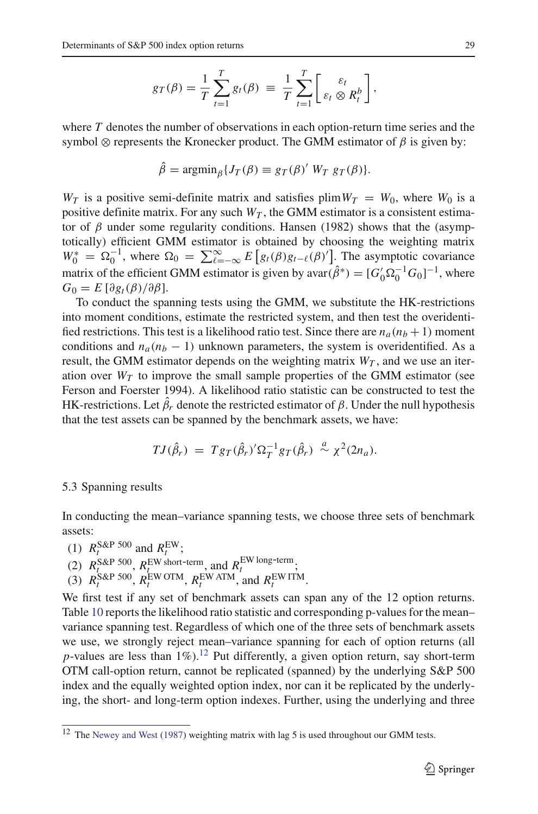$$
g_T(\beta) = \frac{1}{T} \sum_{t=1}^T g_t(\beta) \equiv \frac{1}{T} \sum_{t=1}^T \left[ \varepsilon_t \otimes R_t^b \right],
$$

where *T* denotes the number of observations in each option-return time series and the symbol  $\otimes$  represents the Kronecker product. The GMM estimator of  $\beta$  is given by:

$$
\hat{\beta} = \operatorname{argmin}_{\beta} \{ J_T(\beta) \equiv g_T(\beta)' W_T g_T(\beta) \}.
$$

 $W_T$  is a positive semi-definite matrix and satisfies plim  $W_T = W_0$ , where  $W_0$  is a positive definite matrix. For any such  $W_T$ , the GMM estimator is a consistent estimator of  $\beta$  under some regularity conditions. Hansen (1982) shows that the (asymptotically) efficient GMM estimator is obtained by choosing the weighting matrix  $W_0^* = \Omega_0^{-1}$ , where  $\Omega_0 = \sum_{\ell=-\infty}^{\infty} E[g_t(\beta)g_{t-\ell}(\beta)']$ . The asymptotic covariance matrix of the efficient GMM estimator is given by  $avar(\hat{\beta}^*) = [G'_0 \Omega_0^{-1} G_0]^{-1}$ , where  $G_0 = E \left[ \frac{\partial g_t(\beta)}{\partial \beta} \right]$ .

To conduct the spanning tests using the GMM, we substitute the HK-restrictions into moment conditions, estimate the restricted system, and then test the overidentified restrictions. This test is a likelihood ratio test. Since there are  $n_a(n_b + 1)$  moment conditions and  $n_a(n_b - 1)$  unknown parameters, the system is overidentified. As a result, the GMM estimator depends on the weighting matrix  $W_T$ , and we use an iteration over  $W_T$  to improve the small sample properties of the GMM estimator (see Ferson and Foerster 1994). A likelihood ratio statistic can be constructed to test the HK-restrictions. Let  $\hat{\beta}_r$  denote the restricted estimator of  $\beta$ . Under the null hypothesis that the test assets can be spanned by the benchmark assets, we have:

$$
TJ(\hat{\beta}_r) = Tg_T(\hat{\beta}_r)'\Omega_T^{-1}g_T(\hat{\beta}_r) \stackrel{a}{\sim} \chi^2(2n_a).
$$

### <span id="page-28-1"></span>5.3 Spanning results

In conducting the mean–variance spanning tests, we choose three sets of benchmark assets:

- (1)  $R_t^{\text{S\&P 500}}$  and  $R_t^{\text{EW}}$ ;
- (2)  $R_{t}^{\text{S&P}}$  500,  $R_{t}^{\text{EW short-term}}$ , and  $R_{t}^{\text{EW long-term}}$
- (3)  $R_t^{\text{S\&P 500}}$ ,  $R_t^{\text{EW OTM}}$ ,  $R_t^{\text{EW ATM}}$ , and  $R_t^{\text{EW ITM}}$ .

We first test if any set of benchmark assets can span any of the 12 option returns. Table [10](#page-29-0) reports the likelihood ratio statistic and corresponding p-values for the mean– variance spanning test. Regardless of which one of the three sets of benchmark assets we use, we strongly reject mean–variance spanning for each of option returns (all *p*-values are less than  $1\%$ ).<sup>12</sup> Put differently, a given option return, say short-term OTM call-option return, cannot be replicated (spanned) by the underlying S&P 500 index and the equally weighted option index, nor can it be replicated by the underlying, the short- and long-term option indexes. Further, using the underlying and three

<span id="page-28-0"></span><sup>12</sup> The [Newey and West](#page-37-11) [\(1987\)](#page-37-11) weighting matrix with lag 5 is used throughout our GMM tests.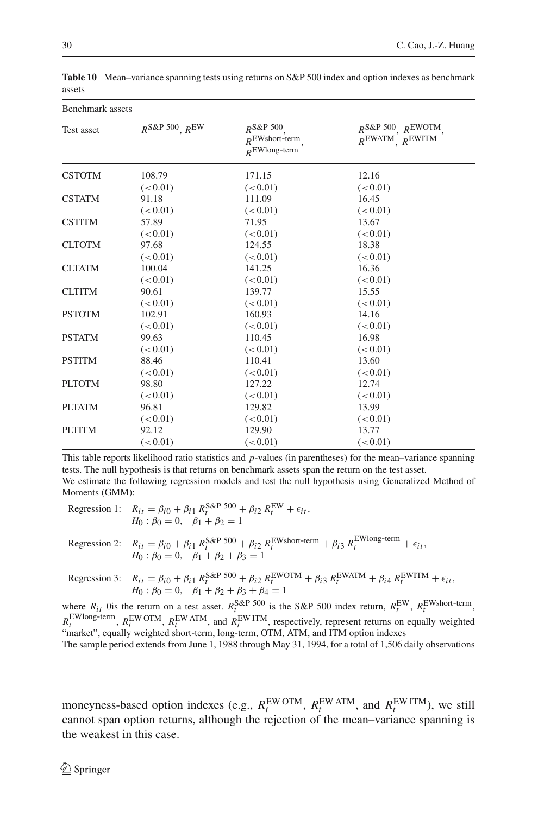| Benchmark assets |                           |                                                       |                                                           |  |  |
|------------------|---------------------------|-------------------------------------------------------|-----------------------------------------------------------|--|--|
| Test asset       | $R^{S\&P 500}$ , $R^{EW}$ | $R^{S\&P 500}$<br>$R$ EWshort-term<br>$R$ EWlong-term | $R^{S\&P 500}$ , $R^{EWOTM}$<br>$R^{EWATM}$ , $R^{EWITM}$ |  |  |
| <b>CSTOTM</b>    | 108.79                    | 171.15                                                | 12.16                                                     |  |  |
|                  | (< 0.01)                  | (< 0.01)                                              | (< 0.01)                                                  |  |  |
| <b>CSTATM</b>    | 91.18                     | 111.09                                                | 16.45                                                     |  |  |
|                  | (< 0.01)                  | (< 0.01)                                              | (< 0.01)                                                  |  |  |
| <b>CSTITM</b>    | 57.89                     | 71.95                                                 | 13.67                                                     |  |  |
|                  | (< 0.01)                  | (< 0.01)                                              | (< 0.01)                                                  |  |  |
| <b>CLTOTM</b>    | 97.68                     | 124.55                                                | 18.38                                                     |  |  |
|                  | (< 0.01)                  | (< 0.01)                                              | (< 0.01)                                                  |  |  |
| <b>CLTATM</b>    | 100.04                    | 141.25                                                | 16.36                                                     |  |  |
|                  | (< 0.01)                  | (< 0.01)                                              | (< 0.01)                                                  |  |  |
| <b>CLTITM</b>    | 90.61                     | 139.77                                                | 15.55                                                     |  |  |
|                  | (< 0.01)                  | (< 0.01)                                              | (< 0.01)                                                  |  |  |
| <b>PSTOTM</b>    | 102.91                    | 160.93                                                | 14.16                                                     |  |  |
|                  | (< 0.01)                  | (< 0.01)                                              | (< 0.01)                                                  |  |  |
| <b>PSTATM</b>    | 99.63                     | 110.45                                                | 16.98                                                     |  |  |
|                  | (< 0.01)                  | (< 0.01)                                              | (< 0.01)                                                  |  |  |
| <b>PSTITM</b>    | 88.46                     | 110.41                                                | 13.60                                                     |  |  |
|                  | (< 0.01)                  | (< 0.01)                                              | (< 0.01)                                                  |  |  |
| <b>PLTOTM</b>    | 98.80                     | 127.22                                                | 12.74                                                     |  |  |
|                  | (< 0.01)                  | (< 0.01)                                              | (< 0.01)                                                  |  |  |
| <b>PLTATM</b>    | 96.81                     | 129.82                                                | 13.99                                                     |  |  |
|                  | (< 0.01)                  | (< 0.01)                                              | (< 0.01)                                                  |  |  |
| <b>PLTITM</b>    | 92.12                     | 129.90                                                | 13.77                                                     |  |  |
|                  | (< 0.01)                  | (< 0.01)                                              | (< 0.01)                                                  |  |  |

<span id="page-29-0"></span>**Table 10** Mean–variance spanning tests using returns on S&P 500 index and option indexes as benchmark assets

This table reports likelihood ratio statistics and *p*-values (in parentheses) for the mean–variance spanning tests. The null hypothesis is that returns on benchmark assets span the return on the test asset. We estimate the following regression models and test the null hypothesis using Generalized Method of Moments (GMM):

| Regression 1: $R_{it} = \beta_{i0} + \beta_{i1} R_t^{S\&P 500} + \beta_{i2} R_t^{EW} + \epsilon_{it},$<br>$H_0: \beta_0 = 0, \quad \beta_1 + \beta_2 = 1$                                                                         |
|-----------------------------------------------------------------------------------------------------------------------------------------------------------------------------------------------------------------------------------|
| Regression 2: $R_{it} = \beta_{i0} + \beta_{i1} R_t^{S\&P 500} + \beta_{i2} R_t^{EWshort-term} + \beta_{i3} R_t^{EWlong-term} + \epsilon_{it}$<br>$H_0: \beta_0 = 0, \quad \beta_1 + \beta_2 + \beta_3 = 1$                       |
| Regression 3: $R_{it} = \beta_{i0} + \beta_{i1} R_t^{S\&P 500} + \beta_{i2} R_t^{EWOTM} + \beta_{i3} R_t^{EWATM} + \beta_{i4} R_t^{EWITM} + \epsilon_{it}$<br>$H_0: \beta_0 = 0, \quad \beta_1 + \beta_2 + \beta_3 + \beta_4 = 1$ |
| EW REWSPERSER AND THE RESERVE STATE THE REWSTER AND THE REWSTER.                                                                                                                                                                  |

where  $R_{it}$  Ois the return on a test asset.  $R_t^{S\&P}$  500 is the S&P 500 index return,  $R_t^{EW}$ ,  $R_t^{EW}$ short-term,  $R_t^{\text{EWlong-term}}$ ,  $R_t^{\text{EW OTM}}$ ,  $R_t^{\text{EW ATM}}$ , and  $R_t^{\text{EW ITM}}$ , respectively, represent returns on equally weighted "market", equally weighted short-term, long-term, OTM, ATM, and ITM option indexes

The sample period extends from June 1, 1988 through May 31, 1994, for a total of 1,506 daily observations

moneyness-based option indexes (e.g.,  $R_t^{\text{EW OTM}}$ ,  $R_t^{\text{EW ATM}}$ , and  $R_t^{\text{EWITM}}$ ), we still cannot span option returns, although the rejection of the mean–variance spanning is the weakest in this case.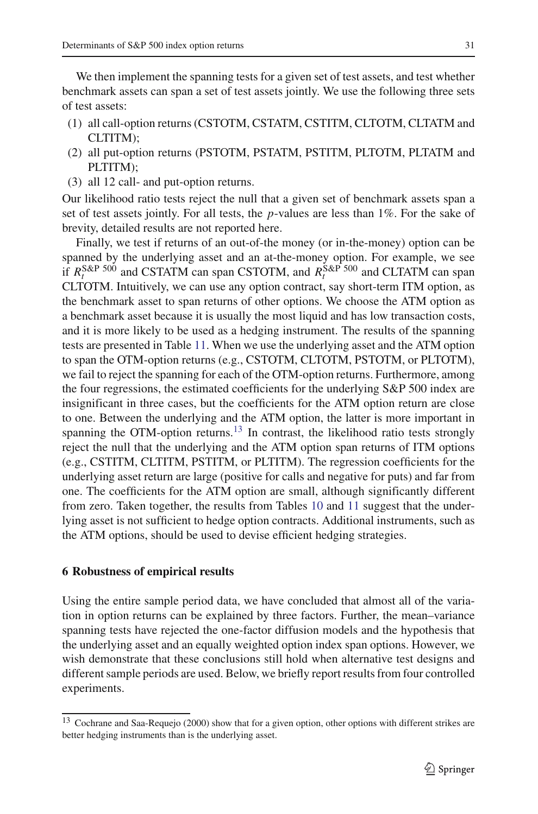We then implement the spanning tests for a given set of test assets, and test whether benchmark assets can span a set of test assets jointly. We use the following three sets of test assets:

- (1) all call-option returns (CSTOTM, CSTATM, CSTITM, CLTOTM, CLTATM and CLTITM);
- (2) all put-option returns (PSTOTM, PSTATM, PSTITM, PLTOTM, PLTATM and PLTITM);
- (3) all 12 call- and put-option returns.

Our likelihood ratio tests reject the null that a given set of benchmark assets span a set of test assets jointly. For all tests, the *p*-values are less than 1%. For the sake of brevity, detailed results are not reported here.

Finally, we test if returns of an out-of-the money (or in-the-money) option can be spanned by the underlying asset and an at-the-money option. For example, we see if  $R_t^{\text{S&P 500}}$  and CSTATM can span CSTOTM, and  $R_t^{\text{S&P 500}}$  and CLTATM can span CLTOTM. Intuitively, we can use any option contract, say short-term ITM option, as the benchmark asset to span returns of other options. We choose the ATM option as a benchmark asset because it is usually the most liquid and has low transaction costs, and it is more likely to be used as a hedging instrument. The results of the spanning tests are presented in Table [11.](#page-31-0) When we use the underlying asset and the ATM option to span the OTM-option returns (e.g., CSTOTM, CLTOTM, PSTOTM, or PLTOTM), we fail to reject the spanning for each of the OTM-option returns. Furthermore, among the four regressions, the estimated coefficients for the underlying S&P 500 index are insignificant in three cases, but the coefficients for the ATM option return are close to one. Between the underlying and the ATM option, the latter is more important in spanning the OTM-option returns.<sup>13</sup> In contrast, the likelihood ratio tests strongly reject the null that the underlying and the ATM option span returns of ITM options (e.g., CSTITM, CLTITM, PSTITM, or PLTITM). The regression coefficients for the underlying asset return are large (positive for calls and negative for puts) and far from one. The coefficients for the ATM option are small, although significantly different from zero. Taken together, the results from Tables [10](#page-29-0) and [11](#page-31-0) suggest that the underlying asset is not sufficient to hedge option contracts. Additional instruments, such as the ATM options, should be used to devise efficient hedging strategies.

# <span id="page-30-0"></span>**6 Robustness of empirical results**

Using the entire sample period data, we have concluded that almost all of the variation in option returns can be explained by three factors. Further, the mean–variance spanning tests have rejected the one-factor diffusion models and the hypothesis that the underlying asset and an equally weighted option index span options. However, we wish demonstrate that these conclusions still hold when alternative test designs and different sample periods are used. Below, we briefly report results from four controlled experiments.

<span id="page-30-1"></span><sup>&</sup>lt;sup>13</sup> Cochrane and Saa-Requejo (2000) show that for a given option, other options with different strikes are better hedging instruments than is the underlying asset.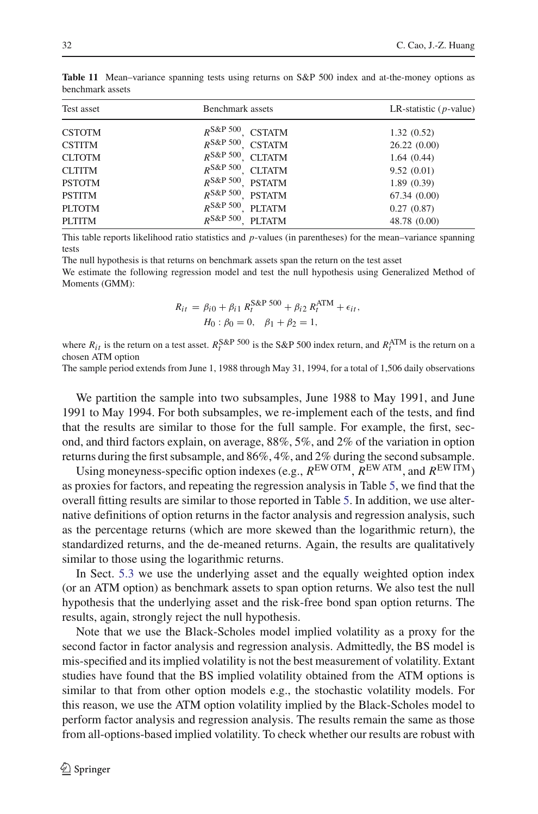| Test asset    | Benchmark assets                  | LR-statistic $(p$ -value) |
|---------------|-----------------------------------|---------------------------|
| <b>CSTOTM</b> | $R^{S\&P 500}$<br><b>CSTATM</b>   | 1.32(0.52)                |
| <b>CSTITM</b> | $R^{S\&P 500}$<br><b>CSTATM</b>   | 26.22(0.00)               |
| <b>CLTOTM</b> | $R^{S\&P 500}$<br><b>CLTATM</b>   | 1.64(0.44)                |
| <b>CLTITM</b> | $R^{S\&P\,500}$<br><b>CLTATM</b>  | 9.52(0.01)                |
| <b>PSTOTM</b> | $R^{S\&P 500}$<br><b>PSTATM</b>   | 1.89(0.39)                |
| <b>PSTITM</b> | $R^{S\&P 500}$ .<br><b>PSTATM</b> | 67.34(0.00)               |
| <b>PLTOTM</b> | $R^{S\&P 500}$<br><b>PLTATM</b>   | 0.27(0.87)                |
| <b>PLTITM</b> | $R^{S\&P 500}$<br><b>PLTATM</b>   | 48.78 (0.00)              |
|               |                                   |                           |

<span id="page-31-0"></span>**Table 11** Mean–variance spanning tests using returns on S&P 500 index and at-the-money options as benchmark assets

This table reports likelihood ratio statistics and *p*-values (in parentheses) for the mean–variance spanning tests

The null hypothesis is that returns on benchmark assets span the return on the test asset

We estimate the following regression model and test the null hypothesis using Generalized Method of Moments (GMM):

$$
R_{it} = \beta_{i0} + \beta_{i1} R_t^{\text{S&P 500}} + \beta_{i2} R_t^{\text{ATM}} + \epsilon_{it},
$$
  
\n
$$
H_0: \beta_0 = 0, \quad \beta_1 + \beta_2 = 1,
$$

where  $R_{it}$  is the return on a test asset.  $R_t^{S\&P}$  500 is the S&P 500 index return, and  $R_t^{ATM}$  is the return on a chosen ATM option

The sample period extends from June 1, 1988 through May 31, 1994, for a total of 1,506 daily observations

We partition the sample into two subsamples, June 1988 to May 1991, and June 1991 to May 1994. For both subsamples, we re-implement each of the tests, and find that the results are similar to those for the full sample. For example, the first, second, and third factors explain, on average, 88%, 5%, and 2% of the variation in option returns during the first subsample, and 86%, 4%, and 2% during the second subsample.

Using moneyness-specific option indexes (e.g., *R*EW OTM, *R*EW ATM, and *R*EW ITM) as proxies for factors, and repeating the regression analysis in Table [5,](#page-15-0) we find that the overall fitting results are similar to those reported in Table [5.](#page-15-0) In addition, we use alternative definitions of option returns in the factor analysis and regression analysis, such as the percentage returns (which are more skewed than the logarithmic return), the standardized returns, and the de-meaned returns. Again, the results are qualitatively similar to those using the logarithmic returns.

In Sect. [5.3](#page-28-1) we use the underlying asset and the equally weighted option index (or an ATM option) as benchmark assets to span option returns. We also test the null hypothesis that the underlying asset and the risk-free bond span option returns. The results, again, strongly reject the null hypothesis.

Note that we use the Black-Scholes model implied volatility as a proxy for the second factor in factor analysis and regression analysis. Admittedly, the BS model is mis-specified and its implied volatility is not the best measurement of volatility. Extant studies have found that the BS implied volatility obtained from the ATM options is similar to that from other option models e.g., the stochastic volatility models. For this reason, we use the ATM option volatility implied by the Black-Scholes model to perform factor analysis and regression analysis. The results remain the same as those from all-options-based implied volatility. To check whether our results are robust with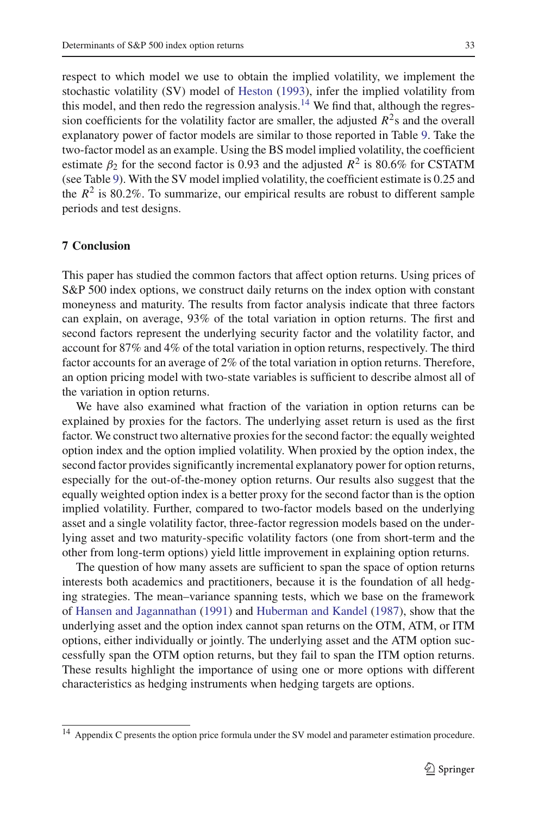respect to which model we use to obtain the implied volatility, we implement the stochastic volatility (SV) model of [Heston](#page-36-6) [\(1993](#page-36-6)), infer the implied volatility from this model, and then redo the regression analysis.<sup>[14](#page-32-1)</sup> We find that, although the regression coefficients for the volatility factor are smaller, the adjusted  $R^2$ s and the overall explanatory power of factor models are similar to those reported in Table [9.](#page-25-0) Take the two-factor model as an example. Using the BS model implied volatility, the coefficient estimate  $\beta_2$  for the second factor is 0.93 and the adjusted  $R^2$  is 80.6% for CSTATM

(see Table [9\)](#page-25-0). With the SV model implied volatility, the coefficient estimate is 0.25 and the  $R^2$  is 80.2%. To summarize, our empirical results are robust to different sample periods and test designs.

# <span id="page-32-0"></span>**7 Conclusion**

This paper has studied the common factors that affect option returns. Using prices of S&P 500 index options, we construct daily returns on the index option with constant moneyness and maturity. The results from factor analysis indicate that three factors can explain, on average, 93% of the total variation in option returns. The first and second factors represent the underlying security factor and the volatility factor, and account for 87% and 4% of the total variation in option returns, respectively. The third factor accounts for an average of 2% of the total variation in option returns. Therefore, an option pricing model with two-state variables is sufficient to describe almost all of the variation in option returns.

We have also examined what fraction of the variation in option returns can be explained by proxies for the factors. The underlying asset return is used as the first factor. We construct two alternative proxies for the second factor: the equally weighted option index and the option implied volatility. When proxied by the option index, the second factor provides significantly incremental explanatory power for option returns, especially for the out-of-the-money option returns. Our results also suggest that the equally weighted option index is a better proxy for the second factor than is the option implied volatility. Further, compared to two-factor models based on the underlying asset and a single volatility factor, three-factor regression models based on the underlying asset and two maturity-specific volatility factors (one from short-term and the other from long-term options) yield little improvement in explaining option returns.

The question of how many assets are sufficient to span the space of option returns interests both academics and practitioners, because it is the foundation of all hedging strategies. The mean–variance spanning tests, which we base on the framework of [Hansen and Jagannathan](#page-36-12) [\(1991\)](#page-36-12) and [Huberman and Kandel](#page-36-13) [\(1987](#page-36-13)), show that the underlying asset and the option index cannot span returns on the OTM, ATM, or ITM options, either individually or jointly. The underlying asset and the ATM option successfully span the OTM option returns, but they fail to span the ITM option returns. These results highlight the importance of using one or more options with different characteristics as hedging instruments when hedging targets are options.

<span id="page-32-1"></span><sup>&</sup>lt;sup>14</sup> Appendix C presents the option price formula under the SV model and parameter estimation procedure.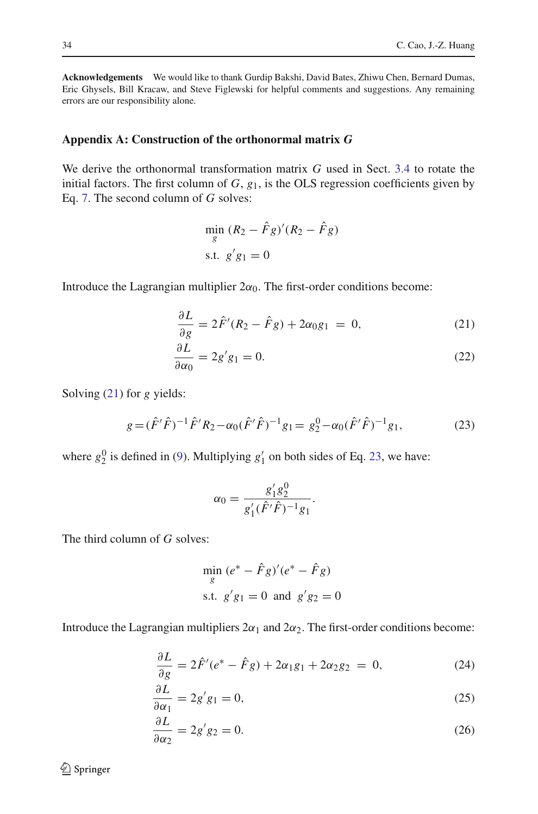**Acknowledgements** We would like to thank Gurdip Bakshi, David Bates, Zhiwu Chen, Bernard Dumas, Eric Ghysels, Bill Kracaw, and Steve Figlewski for helpful comments and suggestions. Any remaining errors are our responsibility alone.

# **Appendix A: Construction of the orthonormal matrix** *G*

We derive the orthonormal transformation matrix *G* used in Sect. [3.4](#page-11-1) to rotate the initial factors. The first column of *G*, *g*1, is the OLS regression coefficients given by Eq. [7.](#page-12-1) The second column of *G* solves:

$$
\min_{g} (R_2 - \hat{F}g)'(R_2 - \hat{F}g)
$$
  
s.t.  $g'g_1 = 0$ 

<span id="page-33-0"></span>Introduce the Lagrangian multiplier  $2\alpha_0$ . The first-order conditions become:

$$
\frac{\partial L}{\partial g} = 2\hat{F}'(R_2 - \hat{F}g) + 2\alpha_0 g_1 = 0, \qquad (21)
$$

$$
\frac{\partial L}{\partial \alpha_0} = 2g'g_1 = 0. \tag{22}
$$

<span id="page-33-1"></span>Solving [\(21\)](#page-33-0) for *g* yields:

$$
g = (\hat{F}'\hat{F})^{-1}\hat{F}'R_2 - \alpha_0(\hat{F}'\hat{F})^{-1}g_1 = g_2^0 - \alpha_0(\hat{F}'\hat{F})^{-1}g_1,\tag{23}
$$

where  $g_2^0$  is defined in [\(9\)](#page-12-2). Multiplying  $g'_1$  on both sides of Eq. [23,](#page-33-1) we have:

$$
\alpha_0 = \frac{g'_1 g_2^0}{g'_1(\hat{F}'\hat{F})^{-1}g_1}.
$$

The third column of *G* solves:

$$
\min_{g} (e^* - \hat{F}g)'(e^* - \hat{F}g)
$$
  
s.t.  $g'g_1 = 0$  and  $g'g_2 = 0$ 

<span id="page-33-2"></span>Introduce the Lagrangian multipliers  $2\alpha_1$  and  $2\alpha_2$ . The first-order conditions become:

$$
\frac{\partial L}{\partial g} = 2\hat{F}'(e^* - \hat{F}g) + 2\alpha_1 g_1 + 2\alpha_2 g_2 = 0,
$$
 (24)

$$
\frac{\partial L}{\partial \alpha_1} = 2g'g_1 = 0,\tag{25}
$$

$$
\frac{\partial L}{\partial \alpha_2} = 2g'g_2 = 0. \tag{26}
$$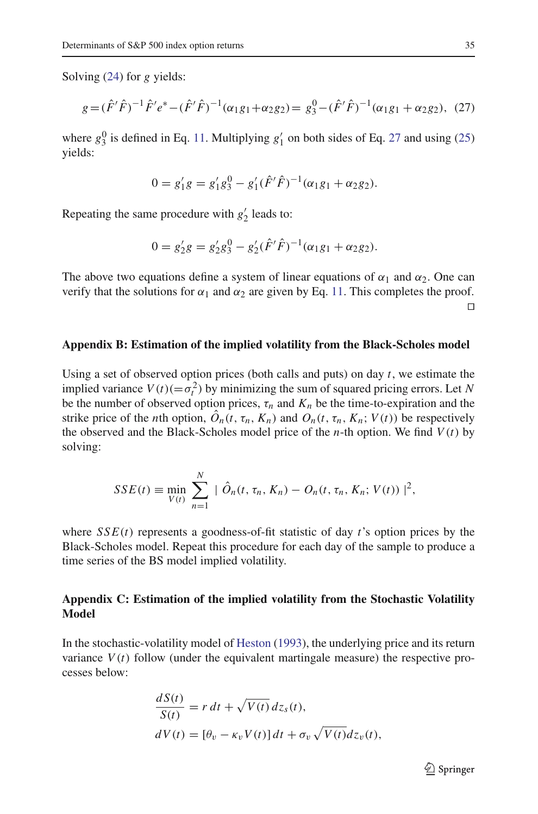<span id="page-34-0"></span>Solving [\(24\)](#page-33-2) for *g* yields:

$$
g = (\hat{F}'\hat{F})^{-1}\hat{F}'e^* - (\hat{F}'\hat{F})^{-1}(\alpha_1g_1 + \alpha_2g_2) = g_3^0 - (\hat{F}'\hat{F})^{-1}(\alpha_1g_1 + \alpha_2g_2), \tag{27}
$$

where  $g_3^0$  is defined in Eq. [11.](#page-12-3) Multiplying  $g'_1$  on both sides of Eq. [27](#page-34-0) and using [\(25\)](#page-33-2) yields:

$$
0 = g'_1 g = g'_1 g_3^0 - g'_1 (\hat{F}' \hat{F})^{-1} (\alpha_1 g_1 + \alpha_2 g_2).
$$

Repeating the same procedure with  $g'_2$  leads to:

$$
0 = g'_2 g = g'_2 g_3^0 - g'_2 (\hat{F}'\hat{F})^{-1} (\alpha_1 g_1 + \alpha_2 g_2).
$$

The above two equations define a system of linear equations of  $\alpha_1$  and  $\alpha_2$ . One can verify that the solutions for  $\alpha_1$  and  $\alpha_2$  are given by Eq. [11.](#page-12-3) This completes the proof.  $\Box$ 

### **Appendix B: Estimation of the implied volatility from the Black-Scholes model**

Using a set of observed option prices (both calls and puts) on day *t*, we estimate the implied variance  $V(t)(=\sigma_t^2)$  by minimizing the sum of squared pricing errors. Let *N* be the number of observed option prices,  $\tau_n$  and  $K_n$  be the time-to-expiration and the strike price of the *n*th option,  $\ddot{O}_n(t, \tau_n, K_n)$  and  $O_n(t, \tau_n, K_n; V(t))$  be respectively the observed and the Black-Scholes model price of the *n*-th option. We find  $V(t)$  by solving:

$$
SSE(t) \equiv \min_{V(t)} \sum_{n=1}^{N} | \hat{O}_n(t, \tau_n, K_n) - O_n(t, \tau_n, K_n; V(t)) |^{2},
$$

where  $SSE(t)$  represents a goodness-of-fit statistic of day  $t$ 's option prices by the Black-Scholes model. Repeat this procedure for each day of the sample to produce a time series of the BS model implied volatility.

# **Appendix C: Estimation of the implied volatility from the Stochastic Volatility Model**

In the stochastic-volatility model of [Heston](#page-36-6) [\(1993\)](#page-36-6), the underlying price and its return variance  $V(t)$  follow (under the equivalent martingale measure) the respective processes below:

$$
\frac{dS(t)}{S(t)} = r dt + \sqrt{V(t)} dz_s(t),
$$
  
\n
$$
dV(t) = [\theta_v - \kappa_v V(t)] dt + \sigma_v \sqrt{V(t)} dz_v(t),
$$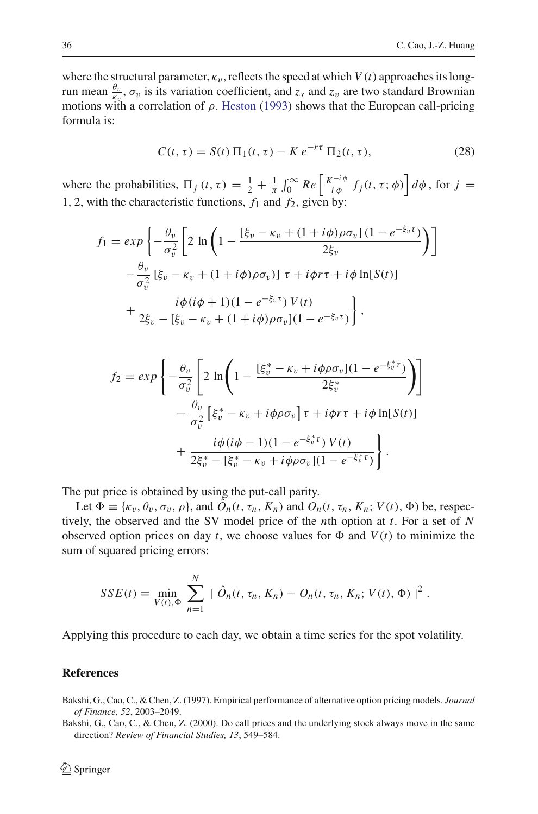where the structural parameter,  $\kappa_v$ , reflects the speed at which  $V(t)$  approaches its longrun mean  $\frac{\theta_v}{\kappa_v}$ ,  $\sigma_v$  is its variation coefficient, and  $z_s$  and  $z_v$  are two standard Brownian motions with a correlation of  $\rho$ . [Heston](#page-36-6) [\(1993](#page-36-6)) shows that the European call-pricing formula is:

$$
C(t, \tau) = S(t) \Pi_1(t, \tau) - K e^{-r\tau} \Pi_2(t, \tau),
$$
 (28)

where the probabilities,  $\Pi_j(t, \tau) = \frac{1}{2} + \frac{1}{\pi} \int_0^\infty Re \left[ \frac{K^{-i\phi}}{i\phi} f_j(t, \tau; \phi) \right] d\phi$ , for  $j =$ 1, 2, with the characteristic functions,  $f_1$  and  $f_2$ , given by:

$$
f_1 = exp\left\{-\frac{\theta_v}{\sigma_v^2} \left[2 \ln\left(1 - \frac{[\xi_v - \kappa_v + (1 + i\phi)\rho\sigma_v](1 - e^{-\xi_v \tau})}{2\xi_v}\right)\right]\right\}
$$

$$
-\frac{\theta_v}{\sigma_v^2} [\xi_v - \kappa_v + (1 + i\phi)\rho\sigma_v)] \tau + i\phi\tau\tau + i\phi \ln[S(t)]
$$

$$
+\frac{i\phi(i\phi + 1)(1 - e^{-\xi_v \tau}) V(t)}{2\xi_v - [\xi_v - \kappa_v + (1 + i\phi)\rho\sigma_v](1 - e^{-\xi_v \tau})}\right\},
$$

$$
f_2 = exp\left\{ -\frac{\theta_v}{\sigma_v^2} \left[ 2 \ln \left( 1 - \frac{[\xi_v^* - \kappa_v + i\phi \rho \sigma_v](1 - e^{-\xi_v^* \tau})}{2\xi_v^*} \right) \right] - \frac{\theta_v}{\sigma_v^2} \left[ \xi_v^* - \kappa_v + i\phi \rho \sigma_v \right] \tau + i\phi \tau + i\phi \ln[S(t)] + \frac{i\phi (i\phi - 1)(1 - e^{-\xi_v^* \tau}) V(t)}{2\xi_v^* - [\xi_v^* - \kappa_v + i\phi \rho \sigma_v](1 - e^{-\xi_v^* \tau})} \right\}.
$$

The put price is obtained by using the put-call parity.

Let  $\Phi \equiv {\kappa_v, \theta_v, \sigma_v, \rho}$ , and  $\hat{O}_n(t, \tau_n, K_n)$  and  $O_n(t, \tau_n, K_n; V(t), \Phi)$  be, respectively, the observed and the SV model price of the *n*th option at *t*. For a set of *N* observed option prices on day *t*, we choose values for  $\Phi$  and  $V(t)$  to minimize the sum of squared pricing errors:

$$
SSE(t) \equiv \min_{V(t), \Phi} \sum_{n=1}^{N} | \hat{O}_n(t, \tau_n, K_n) - O_n(t, \tau_n, K_n; V(t), \Phi) |^{2}.
$$

Applying this procedure to each day, we obtain a time series for the spot volatility.

### **References**

- <span id="page-35-0"></span>Bakshi, G., Cao, C., & Chen, Z. (1997). Empirical performance of alternative option pricing models. *Journal of Finance, 52*, 2003–2049.
- <span id="page-35-1"></span>Bakshi, G., Cao, C., & Chen, Z. (2000). Do call prices and the underlying stock always move in the same direction? *Review of Financial Studies, 13*, 549–584.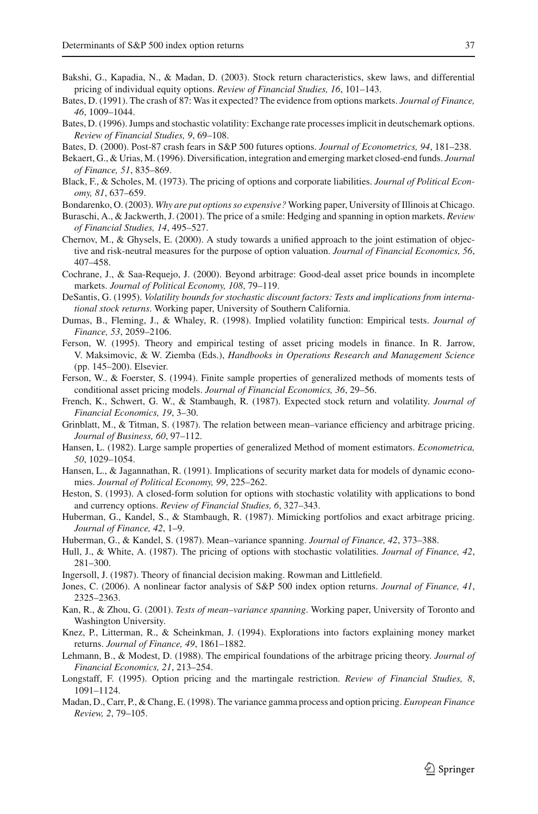- <span id="page-36-8"></span>Bakshi, G., Kapadia, N., & Madan, D. (2003). Stock return characteristics, skew laws, and differential pricing of individual equity options. *Review of Financial Studies, 16*, 101–143.
- <span id="page-36-15"></span>Bates, D. (1991). The crash of 87: Was it expected? The evidence from options markets. *Journal of Finance, 46*, 1009–1044.
- <span id="page-36-1"></span>Bates, D. (1996). Jumps and stochastic volatility: Exchange rate processes implicit in deutschemark options. *Review of Financial Studies, 9*, 69–108.
- <span id="page-36-2"></span>Bates, D. (2000). Post-87 crash fears in S&P 500 futures options. *Journal of Econometrics, 94*, 181–238.
- <span id="page-36-24"></span>Bekaert, G., & Urias, M. (1996). Diversification, integration and emerging market closed-end funds. *Journal of Finance, 51*, 835–869.
- <span id="page-36-0"></span>Black, F., & Scholes, M. (1973). The pricing of options and corporate liabilities. *Journal of Political Economy, 81*, 637–659.
- Bondarenko, O. (2003). *Why are put options so expensive?* Working paper, University of Illinois at Chicago.
- <span id="page-36-9"></span><span id="page-36-3"></span>Buraschi, A., & Jackwerth, J. (2001). The price of a smile: Hedging and spanning in option markets. *Review of Financial Studies, 14*, 495–527.
- <span id="page-36-4"></span>Chernov, M., & Ghysels, E. (2000). A study towards a unified approach to the joint estimation of objective and risk-neutral measures for the purpose of option valuation. *Journal of Financial Economics, 56*, 407–458.
- <span id="page-36-5"></span>Cochrane, J., & Saa-Requejo, J. (2000). Beyond arbitrage: Good-deal asset price bounds in incomplete markets. *Journal of Political Economy, 108*, 79–119.
- <span id="page-36-26"></span>DeSantis, G. (1995). *Volatility bounds for stochastic discount factors: Tests and implications from international stock returns*. Working paper, University of Southern California.
- <span id="page-36-16"></span>Dumas, B., Fleming, J., & Whaley, R. (1998). Implied volatility function: Empirical tests. *Journal of Finance, 53*, 2059–2106.
- <span id="page-36-25"></span>Ferson, W. (1995). Theory and empirical testing of asset pricing models in finance. In R. Jarrow, V. Maksimovic, & W. Ziemba (Eds.), *Handbooks in Operations Research and Management Science* (pp. 145–200). Elsevier.
- Ferson, W., & Foerster, S. (1994). Finite sample properties of generalized methods of moments tests of conditional asset pricing models. *Journal of Financial Economics, 36*, 29–56.
- <span id="page-36-20"></span>French, K., Schwert, G. W., & Stambaugh, R. (1987). Expected stock return and volatility. *Journal of Financial Economics, 19*, 3–30.
- <span id="page-36-17"></span>Grinblatt, M., & Titman, S. (1987). The relation between mean–variance efficiency and arbitrage pricing. *Journal of Business, 60*, 97–112.
- <span id="page-36-27"></span>Hansen, L. (1982). Large sample properties of generalized Method of moment estimators. *Econometrica, 50*, 1029–1054.
- <span id="page-36-12"></span>Hansen, L., & Jagannathan, R. (1991). Implications of security market data for models of dynamic economies. *Journal of Political Economy, 99*, 225–262.
- <span id="page-36-6"></span>Heston, S. (1993). A closed-form solution for options with stochastic volatility with applications to bond and currency options. *Review of Financial Studies, 6*, 327–343.
- <span id="page-36-18"></span>Huberman, G., Kandel, S., & Stambaugh, R. (1987). Mimicking portfolios and exact arbitrage pricing. *Journal of Finance, 42*, 1–9.
- <span id="page-36-13"></span>Huberman, G., & Kandel, S. (1987). Mean–variance spanning. *Journal of Finance, 42*, 373–388.
- <span id="page-36-7"></span>Hull, J., & White, A. (1987). The pricing of options with stochastic volatilities. *Journal of Finance, 42*, 281–300.
- <span id="page-36-23"></span>Ingersoll, J. (1987). Theory of financial decision making. Rowman and Littlefield.
- <span id="page-36-10"></span>Jones, C. (2006). A nonlinear factor analysis of S&P 500 index option returns. *Journal of Finance, 41*, 2325–2363.
- <span id="page-36-14"></span>Kan, R., & Zhou, G. (2001). *Tests of mean–variance spanning*. Working paper, University of Toronto and Washington University.
- <span id="page-36-11"></span>Knez, P., Litterman, R., & Scheinkman, J. (1994). Explorations into factors explaining money market returns. *Journal of Finance, 49*, 1861–1882.
- <span id="page-36-19"></span>Lehmann, B., & Modest, D. (1988). The empirical foundations of the arbitrage pricing theory. *Journal of Financial Economics, 21*, 213–254.
- <span id="page-36-22"></span>Longstaff, F. (1995). Option pricing and the martingale restriction. *Review of Financial Studies, 8*, 1091–1124.
- <span id="page-36-21"></span>Madan, D., Carr, P., & Chang, E. (1998). The variance gamma process and option pricing. *European Finance Review, 2*, 79–105.